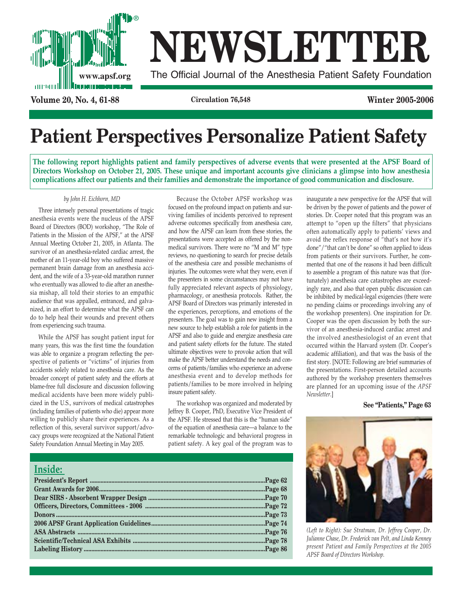

# **NEWSLETTER**

**www.apsf.org** The Official Journal of the Anesthesia Patient Safety Foundation

**Volume 20, No. 4, 61-88 Circulation 76,548 Winter 2005-2006**

# **Patient Perspectives Personalize Patient Safety**

**The following report highlights patient and family perspectives of adverse events that were presented at the APSF Board of Directors Workshop on October 21, 2005. These unique and important accounts give clinicians a glimpse into how anesthesia complications affect our patients and their families and demonstrate the importance of good communication and disclosure.**

### *by John H. Eichhorn, MD*

Three intensely personal presentations of tragic anesthesia events were the nucleus of the APSF Board of Directors (BOD) workshop, "The Role of Patients in the Mission of the APSF," at the APSF Annual Meeting October 21, 2005, in Atlanta. The survivor of an anesthesia-related cardiac arrest, the mother of an 11-year-old boy who suffered massive permanent brain damage from an anesthesia accident, and the wife of a 33-year-old marathon runner who eventually was allowed to die after an anesthesia mishap, all told their stories to an empathic audience that was appalled, entranced, and galvanized, in an effort to determine what the APSF can do to help heal their wounds and prevent others from experiencing such trauma.

While the APSF has sought patient input for many years, this was the first time the foundation was able to organize a program reflecting the perspective of patients or "victims" of injuries from accidents solely related to anesthesia care. As the broader concept of patient safety and the efforts at blame-free full disclosure and discussion following medical accidents have been more widely publicized in the U.S., survivors of medical catastrophes (including families of patients who die) appear more willing to publicly share their experiences. As a reflection of this, several survivor support/advocacy groups were recognized at the National Patient Safety Foundation Annual Meeting in May 2005.

Because the October APSF workshop was focused on the profound impact on patients and surviving families of incidents perceived to represent adverse outcomes specifically from anesthesia care, and how the APSF can learn from these stories, the presentations were accepted as offered by the nonmedical survivors. There were no "M and M" type reviews, no questioning to search for precise details of the anesthesia care and possible mechanisms of injuries. The outcomes were what they were, even if the presenters in some circumstances may not have fully appreciated relevant aspects of physiology, pharmacology, or anesthesia protocols. Rather, the APSF Board of Directors was primarily interested in the experiences, perceptions, and emotions of the presenters. The goal was to gain new insight from a new source to help establish a role for patients in the APSF and also to guide and energize anesthesia care and patient safety efforts for the future. The stated ultimate objectives were to provoke action that will make the APSF better understand the needs and concerns of patients/families who experience an adverse anesthesia event and to develop methods for patients/families to be more involved in helping insure patient safety.

The workshop was organized and moderated by Jeffrey B. Cooper, PhD, Executive Vice President of the APSF. He stressed that this is the "human side" of the equation of anesthesia care—a balance to the remarkable technologic and behavioral progress in patient safety. A key goal of the program was to

| Inside: |  |
|---------|--|
|         |  |
|         |  |
|         |  |
|         |  |
|         |  |
|         |  |
|         |  |
|         |  |
|         |  |
|         |  |

inaugurate a new perspective for the APSF that will be driven by the power of patients and the power of stories. Dr. Cooper noted that this program was an attempt to "open up the filters" that physicians often automatically apply to patients' views and avoid the reflex response of "that's not how it's done"/"that can't be done" so often applied to ideas from patients or their survivors. Further, he commented that one of the reasons it had been difficult to assemble a program of this nature was that (fortunately) anesthesia care catastrophes are exceedingly rare, and also that open public discussion can be inhibited by medical-legal exigencies (there were no pending claims or proceedings involving any of the workshop presenters). One inspiration for Dr. Cooper was the open discussion by both the survivor of an anesthesia-induced cardiac arrest and the involved anesthesiologist of an event that occurred within the Harvard system (Dr. Cooper's academic affiliation), and that was the basis of the first story. [NOTE: Following are brief summaries of the presentations. First-person detailed accounts authored by the workshop presenters themselves are planned for an upcoming issue of the *APSF Newsletter*.]

**See "Patients," Page 63**



*(Left to Right): Sue Stratman, Dr. Jeffrey Cooper, Dr. Julianne Chase, Dr. Frederick van Pelt, and Linda Kenney present Patient and Family Perspectives at the 2005 APSF Board of Directors Workshop.*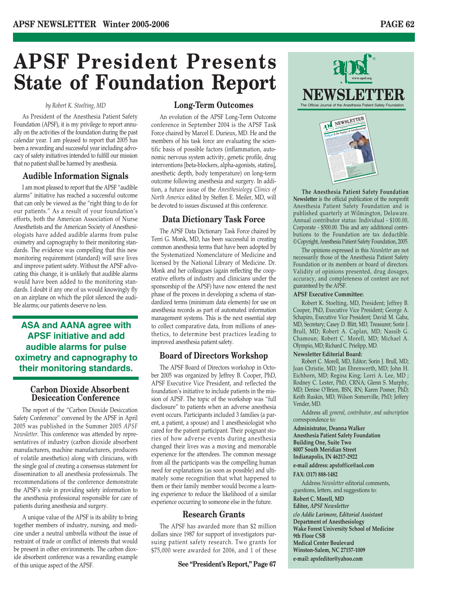# **APSF President Presents State of Foundation Report**

### *by Robert K. Stoelting, MD*

As President of the Anesthesia Patient Safety Foundation (APSF), it is my privilege to report annually on the activities of the foundation during the past calendar year. I am pleased to report that 2005 has been a rewarding and successful year including advocacy of safety initiatives intended to fulfill our mission that no patient shall be harmed by anesthesia.

### **Audible Information Signals**

I am most pleased to report that the APSF "audible alarms" initiative has reached a successful outcome that can only be viewed as the "right thing to do for our patients." As a result of your foundation's efforts, both the American Association of Nurse Anesthetists and the American Society of Anesthesiologists have added audible alarms from pulse oximetry and capnography to their monitoring standards. The evidence was compelling that this new monitoring requirement (standard) will save lives and improve patient safety. Without the APSF advocating this change, it is unlikely that audible alarms would have been added to the monitoring standards. I doubt if any one of us would knowingly fly on an airplane on which the pilot silenced the audible alarms; our patients deserve no less.

### **ASA and AANA agree with APSF initiative and add audible alarms for pulse oximetry and capnography to their monitoring standards.**

### **Carbon Dioxide Absorbent Desiccation Conference**

The report of the "Carbon Dioxide Desiccation Safety Conference" convened by the APSF in April 2005 was published in the Summer 2005 *APSF Newsletter*. This conference was attended by representatives of industry (carbon dioxide absorbent manufacturers, machine manufacturers, producers of volatile anesthetics) along with clinicians, with the single goal of creating a consensus statement for dissemination to all anesthesia professionals. The recommendations of the conference demonstrate the APSF's role in providing safety information to the anesthesia professional responsible for care of patients during anesthesia and surgery.

A unique value of the APSF is its ability to bring together members of industry, nursing, and medicine under a neutral umbrella without the issue of restraint of trade or conflict of interests that would be present in other environments. The carbon dioxide absorbent conference was a rewarding example of this unique aspect of the APSF.

### **Long-Term Outcomes**

An evolution of the APSF Long-Term Outcome conference in September 2004 is the APSF Task Force chaired by Marcel E. Durieux, MD. He and the members of his task force are evaluating the scientific basis of possible factors (inflammation, autonomic nervous system activity, genetic profile, drug interventions [beta-blockers, alpha-agonists, statins], anesthetic depth, body temperature) on long-term outcome following anesthesia and surgery. In addition, a future issue of the *Anesthesiology Clinics of North America* edited by Steffen E. Meiler, MD, will be devoted to issues discussed at this conference.

### **Data Dictionary Task Force**

The APSF Data Dictionary Task Force chaired by Terri G. Monk, MD, has been successful in creating common anesthesia terms that have been adopted by the Systematized Nomenclature of Medicine and licensed by the National Library of Medicine. Dr. Monk and her colleagues (again reflecting the cooperative efforts of industry and clinicians under the sponsorship of the APSF) have now entered the next phase of the process in developing a schema of standardized terms (minimum data elements) for use on anesthesia records as part of automated information management systems. This is the next essential step to collect comparative data, from millions of anesthetics, to determine best practices leading to improved anesthesia patient safety.

### **Board of Directors Workshop**

The APSF Board of Directors workshop in October 2005 was organized by Jeffrey B. Cooper, PhD, APSF Executive Vice President, and reflected the foundation's initiative to include patients in the mission of APSF. The topic of the workshop was "full disclosure" to patients when an adverse anesthesia event occurs. Participants included 3 families (a parent, a patient, a spouse) and 1 anesthesiologist who cared for the patient participant. Their poignant stories of how adverse events during anesthesia changed their lives was a moving and memorable experience for the attendees. The common message from all the participants was the compelling human need for explanations (as soon as possible) and ultimately some recognition that what happened to them or their family member would become a learning experience to reduce the likelihood of a similar experience occurring to someone else in the future.

### **Research Grants**

The APSF has awarded more than \$2 million dollars since 1987 for support of investigators pursuing patient safety research. Two grants for \$75,000 were awarded for 2006, and 1 of these



**The Anesthesia Patient Safety Foundation Newsletter** is the official publication of the nonprofit Anesthesia Patient Safety Foundation and is published quarterly at Wilmington, Delaware. Annual contributor status: Individual - \$100.00, Corporate - \$500.00. This and any additional contributions to the Foundation are tax deductible. © Copyright, Anesthesia Patient Safety Foundation, 2005.

**Performance Enhancing Drugs......................................................................................Page 5**  $\overline{\phantom{a}}$ **Cure for the Dopey Doc?..................................................................................................Page 9 Managing Fatigue............................................................................................................Page 10 Britain & Ireland's Approach to Fatigue ..................................................................Page 13 Costs of Fatigue ..............................................................................................................Page 15 Donors ................................................................................................................................Page 17 Report on Long-Term Outcome Workshop................................................................Page 18 Contract Contract Contract Contract Contract Contract Contract Contract Contract Contract Contract Contract C** 

we are sleep-deprived), all vigilance is lost.

**See "Fatigue," Page 3**

portation Safety Board found that the probable sailing the ship. The National Highway Traffic people are killed or injured each year in crashes attributed to drivers who fell asleep atthe wheel or were impaired by severe drowsiness. These examples and many others reveal that fatigue isa problem that extends beyond health care and is deeply embedded within our society. Studies have shown <sup>a</sup> correlation between the performance effects of sleep deprivation and wakefulness, psychomotor function was equivalent to <sup>a</sup> blood alcohol concentration of 0.1%. This is at or above the legal limit for driving in most states. Think of the professional and personal liability of coming to work intoxicated!

The opinions expressed in this *Newsletter* are not necessarily those of the Anesthesia Patient Safety Foundation or its members or board of directors. Validity of opinions presented, drug dosages, accuracy, and completeness of content are not guaranteed by the APSF.

### **APSF Executive Committee:**

Robert K. Stoelting, MD, President; Jeffrey B. Cooper, PhD, Executive Vice President; George A. Schapiro, Executive Vice President; David M. Gaba, MD, Secretary; Casey D. Blitt, MD, Treasurer; Sorin J. Brull, MD; Robert A. Caplan, MD; Nassib G. Chamoun; Robert C. Morell, MD; Michael A. Olympio, MD; Richard C. Prielipp, MD.

### **Newsletter Editorial Board:**

Robert C. Morell, MD, Editor; Sorin J. Brull, MD; Joan Christie, MD; Jan Ehrenwerth, MD; John H. Eichhorn, MD; Regina King; Lorri A. Lee, MD ; Rodney C. Lester, PhD, CRNA; Glenn S. Murphy, MD; Denise O'Brien, BSN, RN; Karen Posner, PhD; Keith Ruskin, MD; Wilson Somerville, PhD; Jeffery Vender, MD.

Address all *general, contributor, and subscription* correspondence to:

**Administrator, Deanna Walker**

**Anesthesia Patient Safety Foundation Building One, Suite Two 8007 South Meridian Street**

**Indianapolis, IN 46217-2922**

**e-mail address: apsfoffice@aol.com FAX: (317) 888-1482**

Address *Newsletter* editorial comments, questions, letters, and suggestions to:

**Robert C. Morell, MD Editor,** *APSF Newsletter c/o Addie Larimore, Editorial Assistant* **Department of Anesthesiology Wake Forest University School of Medicine 9th Floor CSB Medical Center Boulevard Winston-Salem, NC 27157-1009**

**e-mail: apsfeditor@yahoo.com**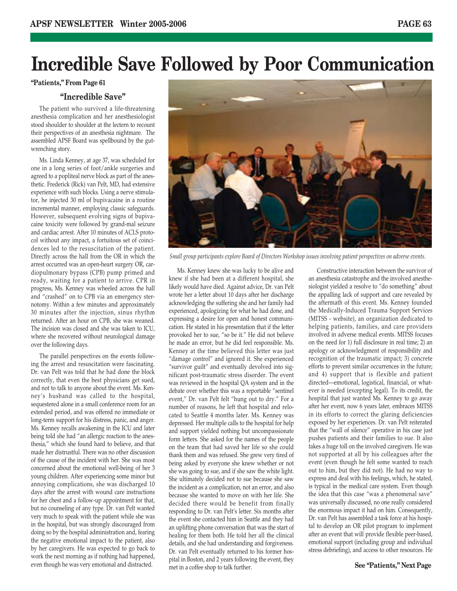## **Incredible Save Followed by Poor Communication**

**"Patients," From Page 61**

### **"Incredible Save"**

The patient who survived a life-threatening anesthesia complication and her anesthesiologist stood shoulder to shoulder at the lectern to recount their perspectives of an anesthesia nightmare. The assembled APSF Board was spellbound by the gutwrenching story.

Ms. Linda Kenney, at age 37, was scheduled for one in a long series of foot/ankle surgeries and agreed to a popliteal nerve block as part of the anesthetic. Frederick (Rick) van Pelt, MD, had extensive experience with such blocks. Using a nerve stimulator, he injected 30 ml of bupivacaine in a routine incremental manner, employing classic safeguards. However, subsequent evolving signs of bupivacaine toxicity were followed by grand-mal seizure and cardiac arrest. After 10 minutes of ACLS protocol without any impact, a fortuitous set of coincidences led to the resuscitation of the patient. Directly across the hall from the OR in which the arrest occurred was an open-heart surgery OR, cardiopulmonary bypass (CPB) pump primed and ready, waiting for a patient to arrive. CPR in progress, Ms. Kenney was wheeled across the hall and "crashed" on to CPB via an emergency sternotomy. Within a few minutes and approximately 30 minutes after the injection, sinus rhythm returned. After an hour on CPB, she was weaned. The incision was closed and she was taken to ICU, where she recovered without neurological damage over the following days.

The parallel perspectives on the events following the arrest and resuscitation were fascinating. Dr. van Pelt was told that he had done the block correctly, that even the best physicians get sued, and not to talk to anyone about the event. Ms. Kenney's husband was called to the hospital, sequestered alone in a small conference room for an extended period, and was offered no immediate or long-term support for his distress, panic, and anger. Ms. Kenney recalls awakening in the ICU and later being told she had "an allergic reaction to the anesthesia," which she found hard to believe, and that made her distrustful. There was no other discussion of the cause of the incident with her. She was most concerned about the emotional well-being of her 3 young children. After experiencing some minor but annoying complications, she was discharged 10 days after the arrest with wound care instructions for her chest and a follow-up appointment for that, but no counseling of any type. Dr. van Pelt wanted very much to speak with the patient while she was in the hospital, but was strongly discouraged from doing so by the hospital administration and, fearing the negative emotional impact to the patient, also by her caregivers. He was expected to go back to work the next morning as if nothing had happened, even though he was very emotional and distracted.



*Small group participants explore Board of Directors Workshop issues involving patient perspectives on adverse events.*

Ms. Kenney knew she was lucky to be alive and knew if she had been at a different hospital, she likely would have died. Against advice, Dr. van Pelt wrote her a letter about 10 days after her discharge acknowledging the suffering she and her family had experienced, apologizing for what he had done, and expressing a desire for open and honest communication. He stated in his presentation that if the letter provoked her to sue, "so be it." He did not believe he made an error, but he did feel responsible. Ms. Kenney at the time believed this letter was just "damage control" and ignored it. She experienced "survivor guilt" and eventually devolved into significant post-traumatic stress disorder. The event was reviewed in the hospital QA system and in the debate over whether this was a reportable "sentinel event," Dr. van Pelt felt "hung out to dry." For a number of reasons, he left that hospital and relocated to Seattle 4 months later. Ms. Kenney was depressed. Her multiple calls to the hospital for help and support yielded nothing but uncompassionate form letters. She asked for the names of the people on the team that had saved her life so she could thank them and was refused. She grew very tired of being asked by everyone she knew whether or not she was going to sue, and if she saw the white light. She ultimately decided not to sue because she saw the incident as a complication, not an error, and also because she wanted to move on with her life. She decided there would be benefit from finally responding to Dr. van Pelt's letter. Six months after the event she contacted him in Seattle and they had an uplifting phone conversation that was the start of healing for them both. He told her all the clinical details, and she had understanding and forgiveness. Dr. van Pelt eventually returned to his former hospital in Boston, and 2 years following the event, they met in a coffee shop to talk further.

Constructive interaction between the survivor of an anesthesia catastrophe and the involved anesthesiologist yielded a resolve to "do something" about the appalling lack of support and care revealed by the aftermath of this event. Ms. Kenney founded the Medically-Induced Trauma Support Services (MITSS - website), an organization dedicated to helping patients, families, and care providers involved in adverse medical events. MITSS focuses on the need for 1) full disclosure in real time; 2) an apology or acknowledgment of responsibility and recognition of the traumatic impact; 3) concrete efforts to prevent similar occurrences in the future; and 4) support that is flexible and patient directed—emotional, logistical, financial, or whatever is needed (excepting legal). To its credit, the hospital that just wanted Ms. Kenney to go away after her event, now 6 years later, embraces MITSS in its efforts to correct the glaring deficiencies exposed by her experiences. Dr. van Pelt reiterated that the "wall of silence" operative in his case just pushes patients and their families to sue. It also takes a huge toll on the involved caregivers. He was not supported at all by his colleagues after the event (even though he felt some wanted to reach out to him, but they did not). He had no way to express and deal with his feelings, which, he stated, is typical in the medical care system. Even though the idea that this case "was a phenomenal save" was universally discussed, no one really considered the enormous impact it had on him. Consequently, Dr. van Pelt has assembled a task force at his hospital to develop an OR pilot program to implement after an event that will provide flexible peer-based, emotional support (including group and individual stress debriefing), and access to other resources. He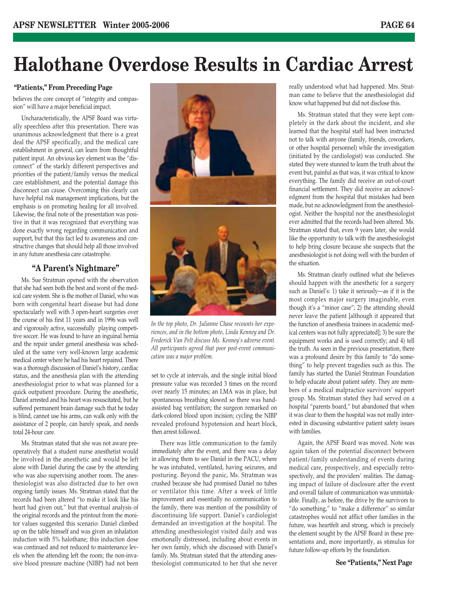## **Halothane Overdose Results in Cardiac Arrest**

### **"Patients," From Preceding Page**

believes the core concept of "integrity and compassion" will have a major beneficial impact.

Uncharacteristically, the APSF Board was virtually speechless after this presentation. There was unanimous acknowledgment that there is a great deal the APSF specifically, and the medical care establishment in general, can learn from thoughtful patient input. An obvious key element was the "disconnect" of the starkly different perspectives and priorities of the patient/family versus the medical care establishment, and the potential damage this disconnect can cause. Overcoming this clearly can have helpful risk management implications, but the emphasis is on promoting healing for all involved. Likewise, the final note of the presentation was positive in that it was recognized that everything was done exactly wrong regarding communication and support, but that this fact led to awareness and constructive changes that should help all those involved in any future anesthesia care catastrophe.

### **"A Parent's Nightmare"**

Ms. Sue Stratman opened with the observation that she had seen both the best and worst of the medical care system. She is the mother of Daniel, who was born with congenital heart disease but had done spectacularly well with 3 open-heart surgeries over the course of his first 11 years and in 1996 was well and vigorously active, successfully playing competitive soccer. He was found to have an inguinal hernia and the repair under general anesthesia was scheduled at the same very well-known large academic medical center where he had his heart repaired. There was a thorough discussion of Daniel's history, cardiac status, and the anesthesia plan with the attending anesthesiologist prior to what was planned for a quick outpatient procedure. During the anesthetic, Daniel arrested and his heart was resuscitated, but he suffered permanent brain damage such that he today is blind, cannot use his arms, can walk only with the assistance of 2 people, can barely speak, and needs total 24-hour care.

Ms. Stratman stated that she was not aware preoperatively that a student nurse anesthetist would be involved in the anesthetic and would be left alone with Daniel during the case by the attending who was also supervising another room. The anesthesiologist was also distracted due to her own ongoing family issues. Ms. Stratman stated that the records had been altered "to make it look like his heart had given out," but that eventual analysis of the original records and the printout from the monitor values suggested this scenario: Daniel climbed up on the table himself and was given an inhalation induction with 5% halothane; this induction dose was continued and not reduced to maintenance levels when the attending left the room; the non-invasive blood pressure machine (NIBP) had not been



*In the top photo, Dr. Julianne Chase recounts her experiences, and in the bottom photo, Linda Kenney and Dr. Frederick Van Pelt discuss Ms. Kenney's adverse event. All participants agreed that poor post-event communication was a major problem.*

set to cycle at intervals, and the single initial blood pressure value was recorded 3 times on the record over nearly 15 minutes; an LMA was in place, but spontaneous breathing slowed so there was handassisted bag ventilation; the surgeon remarked on dark-colored blood upon incision; cycling the NIBP revealed profound hypotension and heart block, then arrest followed.

There was little communication to the family immediately after the event, and there was a delay in allowing them to see Daniel in the PACU, where he was intubated, ventilated, having seizures, and posturing. Beyond the panic, Ms. Stratman was crushed because she had promised Daniel no tubes or ventilator this time. After a week of little improvement and essentially no communication to the family, there was mention of the possibility of discontinuing life support. Daniel's cardiologist demanded an investigation at the hospital. The attending anesthesiologist visited daily and was emotionally distressed, including about events in her own family, which she discussed with Daniel's family. Ms. Stratman stated that the attending anesthesiologist communicated to her that she never really understood what had happened. Mrs. Stratman came to believe that the anesthesiologist did know what happened but did not disclose this.

Ms. Stratman stated that they were kept completely in the dark about the incident, and she learned that the hospital staff had been instructed not to talk with anyone (family, friends, coworkers, or other hospital personnel) while the investigation (initiated by the cardiologist) was conducted. She stated they were stunned to learn the truth about the event but, painful as that was, it was critical to know everything. The family did receive an out-of-court financial settlement. They did receive an acknowledgment from the hospital that mistakes had been made, but no acknowledgment from the anesthesiologist. Neither the hospital nor the anesthesiologist ever admitted that the records had been altered. Ms. Stratman stated that, even 9 years later, she would like the opportunity to talk with the anesthesiologist to help bring closure because she suspects that the anesthesiologist is not doing well with the burden of the situation.

Ms. Stratman clearly outlined what she believes should happen with the anesthetic for a surgery such as Daniel's: 1) take it seriously—as if it is the most complex major surgery imaginable, even though it's a "minor case"; 2) the attending should never leave the patient [although it appeared that the function of anesthesia trainees in academic medical centers was not fully appreciated]; 3) be sure the equipment works and is used correctly; and 4) tell the truth. As seen in the previous presentation, there was a profound desire by this family to "do something" to help prevent tragedies such as this. The family has started the Daniel Stratman Foundation to help educate about patient safety. They are members of a medical malpractice survivors' support group. Ms. Stratman stated they had served on a hospital "parents board," but abandoned that when it was clear to them the hospital was not really interested in discussing substantive patient safety issues with families.

Again, the APSF Board was moved. Note was again taken of the potential disconnect between patient/family understanding of events during medical care, prospectively, and especially retrospectively, and the providers' realities. The damaging impact of failure of disclosure after the event and overall failure of communication was unmistakable. Finally, as before, the drive by the survivors to "do something," to "make a difference" so similar catastrophes would not afflict other families in the future, was heartfelt and strong, which is precisely the element sought by the APSF Board in these presentations and, more importantly, as stimulus for future follow-up efforts by the foundation.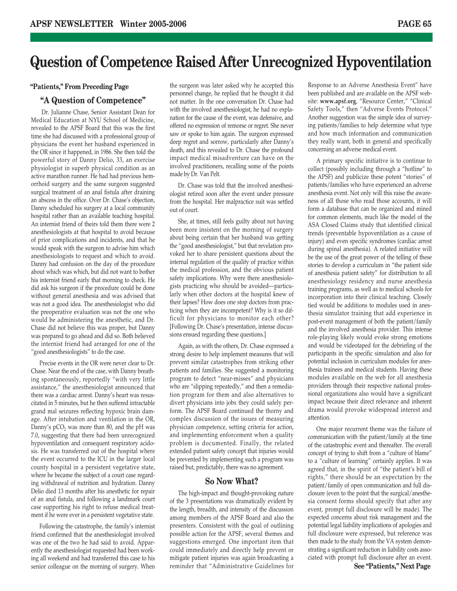### **Question of Competence Raised After Unrecognized Hypoventilation**

### **"Patients," From Preceding Page**

### **"A Question of Competence"**

Dr. Julianne Chase, Senior Assistant Dean for Medical Education at NYU School of Medicine, revealed to the APSF Board that this was the first time she had discussed with a professional group of physicians the event her husband experienced in the OR since it happened, in 1986. She then told the powerful story of Danny Delio, 33, an exercise physiologist in superb physical condition as an active marathon runner. He had had previous hemorrhoid surgery and the same surgeon suggested surgical treatment of an anal fistula after draining an abscess in the office. Over Dr. Chase's objection, Danny scheduled his surgery at a local community hospital rather than an available teaching hospital. An internist friend of theirs told them there were 2 anesthesiologists at that hospital to avoid because of prior complications and incidents, and that he would speak with the surgeon to advise him which anesthesiologists to request and which to avoid. Danny had confusion on the day of the procedure about which was which, but did not want to bother his internist friend early that morning to check. He did ask his surgeon if the procedure could be done without general anesthesia and was advised that was not a good idea. The anesthesiologist who did the preoperative evaluation was not the one who would be administering the anesthetic, and Dr. Chase did not believe this was proper, but Danny was prepared to go ahead and did so. Both believed the internist friend had arranged for one of the "good anesthesiologists" to do the case.

Precise events in the OR were never clear to Dr. Chase. Near the end of the case, with Danny breathing spontaneously, reportedly "with very little assistance," the anesthesiologist announced that there was a cardiac arrest. Danny's heart was resuscitated in 5 minutes, but he then suffered intractable grand mal seizures reflecting hypoxic brain damage. After intubation and ventilation in the OR, Danny's  $pCO<sub>2</sub>$  was more than 80, and the pH was 7.0, suggesting that there had been unrecognized hypoventilation and consequent respiratory acidosis. He was transferred out of the hospital where the event occurred to the ICU in the larger local county hospital in a persistent vegetative state, where he became the subject of a court case regarding withdrawal of nutrition and hydration. Danny Delio died 13 months after his anesthetic for repair of an anal fistula, and following a landmark court case supporting his right to refuse medical treatment if he were ever in a persistent vegetative state.

Following the catastrophe, the family's internist friend confirmed that the anesthesiologist involved was one of the two he had said to avoid. Apparently the anesthesiologist requested had been working all weekend and had transferred this case to his senior colleague on the morning of surgery. When

the surgeon was later asked why he accepted this personnel change, he replied that he thought it did not matter. In the one conversation Dr. Chase had with the involved anesthesiologist, he had no explanation for the cause of the event, was defensive, and offered no expression of remorse or regret. She never saw or spoke to him again. The surgeon expressed deep regret and sorrow, particularly after Danny's death, and this revealed to Dr. Chase the profound impact medical misadventure can have on the involved practitioners, recalling some of the points made by Dr. Van Pelt.

Dr. Chase was told that the involved anesthesiologist retired soon after the event under pressure from the hospital. Her malpractice suit was settled out of court.

She, at times, still feels guilty about not having been more insistent on the morning of surgery about being certain that her husband was getting the "good anesthesiologist," but that revelation provoked her to share persistent questions about the internal regulation of the quality of practice within the medical profession, and the obvious patient safety implications. Why were there anesthesiologists practicing who should be avoided—particularly when other doctors at the hospital knew of their lapses? How does one stop doctors from practicing when they are incompetent? Why is it so difficult for physicians to monitor each other? [Following Dr. Chase's presentation, intense discussions ensued regarding these questions.]

Again, as with the others, Dr. Chase expressed a strong desire to help implement measures that will prevent similar catastrophes from striking other patients and families. She suggested a monitoring program to detect "near-misses" and physicians who are "slipping repeatedly," and then a remediation program for them and also alternatives to divert physicians into jobs they could safely perform. The APSF Board continued the thorny and complex discussion of the issues of measuring physician competence, setting criteria for action, and implementing enforcement when a quality problem is documented. Finally, the related extended patient safety concept that injuries would be prevented by implementing such a program was raised but, predictably, there was no agreement.

### **So Now What?**

The high-impact and thought-provoking nature of the 3 presentations was dramatically evident by the length, breadth, and intensity of the discussion among members of the APSF Board and also the presenters. Consistent with the goal of outlining possible action for the APSF, several themes and suggestions emerged. One important item that could immediately and directly help prevent or mitigate patient injuries was again broadcasting a reminder that "Administrative Guidelines for

Response to an Adverse Anesthesia Event" have been published and are available on the APSF website: **www.apsf.org**, "Resource Center," "Clinical Safety Tools," then "Adverse Events Protocol." Another suggestion was the simple idea of surveying patients/families to help determine what type and how much information and communication they really want, both in general and specifically concerning an adverse medical event.

A primary specific initiative is to continue to collect (possibly including through a "hotline" to the APSF) and publicize these potent "stories" of patients/families who have experienced an adverse anesthesia event. Not only will this raise the awareness of all those who read those accounts, it will form a database that can be organized and mined for common elements, much like the model of the ASA Closed Claims study that identified clinical trends (preventable hypoventilation as a cause of injury) and even specific syndromes (cardiac arrest during spinal anesthesia). A related initiative will be the use of the great power of the telling of these stories to develop a curriculum in "the patient side of anesthesia patient safety" for distribution to all anesthesiology residency and nurse anesthesia training programs, as well as to medical schools for incorporation into their clinical teaching. Closely tied would be additions to modules used in anesthesia simulator training that add experience in post-event management of both the patient/family and the involved anesthesia provider. This intense role-playing likely would evoke strong emotions and would be videotaped for the debriefing of the participants in the specific simulation and also for potential inclusion in curriculum modules for anesthesia trainees and medical students. Having these modules available on the web for all anesthesia providers through their respective national professional organizations also would have a significant impact because their direct relevance and inherent drama would provoke widespread interest and attention.

One major recurrent theme was the failure of communication with the patient/family at the time of the catastrophic event and thereafter. The overall concept of trying to shift from a "culture of blame" to a "culture of learning" certainly applies. It was agreed that, in the spirit of "the patient's bill of rights," there should be an expectation by the patient/family of open communication and full disclosure (even to the point that the surgical/anesthesia consent forms should specify that after any event, prompt full disclosure will be made). The expected concerns about risk management and the potential legal liability implications of apologies and full disclosure were expressed, but reference was then made to the study from the VA system demonstrating a significant reduction in liability costs associated with prompt full disclosure after an event.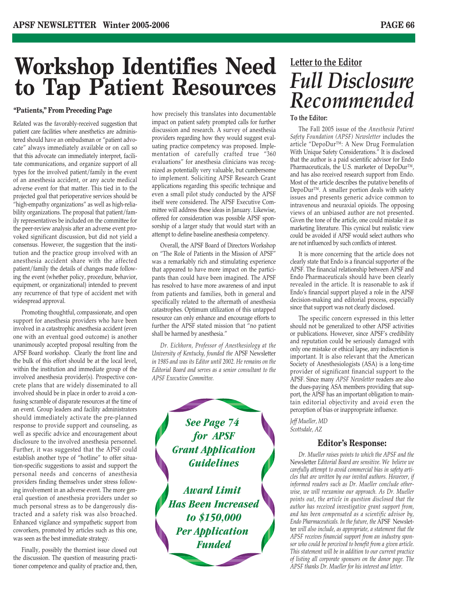# **Workshop Identifies Need to Tap Patient Resources**

### **"Patients," From Preceding Page**

Related was the favorably-received suggestion that patient care facilities where anesthetics are administered should have an ombudsman or "patient advocate" always immediately available or on call so that this advocate can immediately interpret, facilitate communications, and organize support of all types for the involved patient/family in the event of an anesthesia accident, or any acute medical adverse event for that matter. This tied in to the projected goal that perioperative services should be "high-empathy organizations" as well as high-reliability organizations. The proposal that patient/family representatives be included on the committee for the peer-review analysis after an adverse event provoked significant discussion, but did not yield a consensus. However, the suggestion that the institution and the practice group involved with an anesthesia accident share with the affected patient/family the details of changes made following the event (whether policy, procedure, behavior, equipment, or organizational) intended to prevent any recurrence of that type of accident met with widespread approval.

Promoting thoughtful, compassionate, and open support for anesthesia providers who have been involved in a catastrophic anesthesia accident (even one with an eventual good outcome) is another unanimously accepted proposal resulting from the APSF Board workshop. Clearly the front line and the bulk of this effort should be at the local level, within the institution and immediate group of the involved anesthesia provider(s). Prospective concrete plans that are widely disseminated to all involved should be in place in order to avoid a confusing scramble of disparate resources at the time of an event. Group leaders and facility administrators should immediately activate the pre-planned response to provide support and counseling, as well as specific advice and encouragement about disclosure to the involved anesthesia personnel. Further, it was suggested that the APSF could establish another type of "hotline" to offer situation-specific suggestions to assist and support the personal needs and concerns of anesthesia providers finding themselves under stress following involvement in an adverse event. The more general question of anesthesia providers under so much personal stress as to be dangerously distracted and a safety risk was also broached. Enhanced vigilance and sympathetic support from coworkers, promoted by articles such as this one, was seen as the best immediate strategy.

Finally, possibly the thorniest issue closed out the discussion. The question of measuring practitioner competence and quality of practice and, then, how precisely this translates into documentable impact on patient safety prompted calls for further discussion and research. A survey of anesthesia providers regarding how they would suggest evaluating practice competency was proposed. Implementation of carefully crafted true "360 evaluations" for anesthesia clinicians was recognized as potentially very valuable, but cumbersome to implement. Soliciting APSF Research Grant applications regarding this specific technique and even a small pilot study conducted by the APSF itself were considered. The APSF Executive Committee will address these ideas in January. Likewise, offered for consideration was possible APSF sponsorship of a larger study that would start with an attempt to define baseline anesthesia competency.

Overall, the APSF Board of Directors Workshop on "The Role of Patients in the Mission of APSF" was a remarkably rich and stimulating experience that appeared to have more impact on the participants than could have been imagined. The APSF has resolved to have more awareness of and input from patients and families, both in general and specifically related to the aftermath of anesthesia catastrophes. Optimum utilization of this untapped resource can only enhance and encourage efforts to further the APSF stated mission that "no patient shall be harmed by anesthesia."

*Dr. Eichhorn, Professor of Anesthesiology at the University of Kentucky, founded the* APSF Newsletter *in 1985 and was its Editor until 2002. He remains on the Editorial Board and serves as a senior consultant to the APSF Executive Committee.*

> *See Page 74 for APSF Grant Application Guidelines*

*Award Limit Has Been Increased to \$150,000 Per Application Funded*

### **Letter to the Editor** *Full Disclosure Recommended*

### **To the Editor:**

The Fall 2005 issue of the *Anesthesia Patient Safety Foundation (APSF) Newsletter* includes the article "DepoDur™: A New Drug Formulation With Unique Safety Considerations." It is disclosed that the author is a paid scientific advisor for Endo Pharmaceuticals, the U.S. marketer of DepoDur™, and has also received research support from Endo. Most of the article describes the putative benefits of DepoDur™. A smaller portion deals with safety issues and presents generic advice common to intravenous and neuraxial opioids. The opposing views of an unbiased author are not presented. Given the tone of the article, one could mistake it as marketing literature. This cynical but realistic view could be avoided if APSF would select authors who are not influenced by such conflicts of interest.

It is more concerning that the article does not clearly state that Endo is a financial supporter of the APSF. The financial relationship between APSF and Endo Pharmaceuticals should have been clearly revealed in the article. It is reasonable to ask if Endo's financial support played a role in the APSF decision-making and editorial process, especially since that support was not clearly disclosed.

The specific concern expressed in this letter should not be generalized to other APSF activities or publications. However, since APSF's credibility and reputation could be seriously damaged with only one mistake or ethical lapse, any indiscretion is important. It is also relevant that the American Society of Anesthesiologists (ASA) is a long-time provider of significant financial support to the APSF. Since many *APSF Newsletter* readers are also the dues-paying ASA members providing that support, the APSF has an important obligation to maintain editorial objectivity and avoid even the perception of bias or inappropriate influence.

*Jeff Mueller, MD Scottsdale, AZ*

### **Editor's Response:**

*Dr. Mueller raises points to which the APSF and the* Newsletter *Editorial Board are sensitive. We believe we carefully attempt to avoid commercial bias in safety articles that are written by our invited authors. However, if informed readers such as Dr. Mueller conclude otherwise, we will reexamine our approach. As Dr. Mueller points out, the article in question disclosed that the author has received investigative grant support from, and has been compensated as a scientific advisor by, Endo Pharmaceuticals. In the future, the* APSF Newsletter *will also include, as appropriate, a statement that the APSF receives financial support from an industry sponsor who could be perceived to benefit from a given article. This statement will be in addition to our current practice of listing all corporate sponsors on the donor page. The APSF thanks Dr. Mueller for his interest and letter.*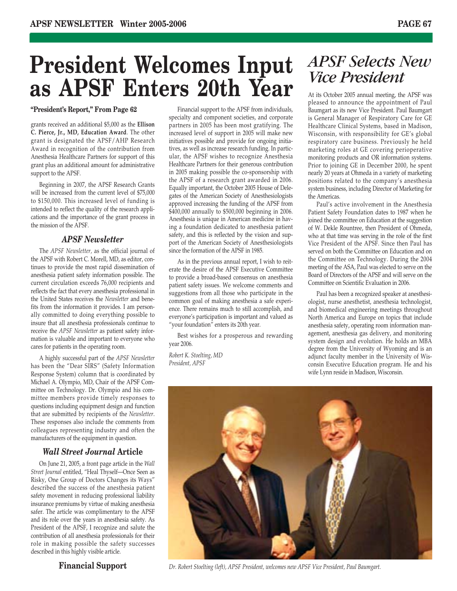# **President Welcomes Input as APSF Enters 20th Year**

### **"President's Report," From Page 62**

grants received an additional \$5,000 as the **Ellison C. Pierce, Jr., MD, Education Award**. The other grant is designated the APSF/AHP Research Award in recognition of the contribution from Anesthesia Healthcare Partners for support of this grant plus an additional amount for administrative support to the APSF.

Beginning in 2007, the APSF Research Grants will be increased from the current level of \$75,000 to \$150,000. This increased level of funding is intended to reflect the quality of the research applications and the importance of the grant process in the mission of the APSF.

### *APSF Newsletter*

The *APSF Newsletter,* as the official journal of the APSF with Robert C. Morell, MD, as editor, continues to provide the most rapid dissemination of anesthesia patient safety information possible. The current circulation exceeds 76,000 recipients and reflects the fact that every anesthesia professional in the United States receives the *Newsletter* and benefits from the information it provides. I am personally committed to doing everything possible to insure that all anesthesia professionals continue to receive the *APSF Newsletter* as patient safety information is valuable and important to everyone who cares for patients in the operating room.

A highly successful part of the *APSF Newsletter* has been the "Dear SIRS" (Safety Information Response System) column that is coordinated by Michael A. Olympio, MD, Chair of the APSF Committee on Technology. Dr. Olympio and his committee members provide timely responses to questions including equipment design and function that are submitted by recipients of the *Newsletter*. These responses also include the comments from colleagues representing industry and often the manufacturers of the equipment in question.

### *Wall Street Journal* **Article**

On June 21, 2005, a front page article in the *Wall Street Journal* entitled, "Heal Thyself—Once Seen as Risky, One Group of Doctors Changes its Ways" described the success of the anesthesia patient safety movement in reducing professional liability insurance premiums by virtue of making anesthesia safer. The article was complimentary to the APSF and its role over the years in anesthesia safety. As President of the APSF, I recognize and salute the contribution of all anesthesia professionals for their role in making possible the safety successes described in this highly visible article.

**Financial Support**

Financial support to the APSF from individuals, specialty and component societies, and corporate partners in 2005 has been most gratifying. The increased level of support in 2005 will make new initiatives possible and provide for ongoing initiatives, as well as increase research funding. In particular, the APSF wishes to recognize Anesthesia Healthcare Partners for their generous contribution in 2005 making possible the co-sponsorship with the APSF of a research grant awarded in 2006. Equally important, the October 2005 House of Delegates of the American Society of Anesthesiologists approved increasing the funding of the APSF from \$400,000 annually to \$500,000 beginning in 2006. Anesthesia is unique in American medicine in having a foundation dedicated to anesthesia patient safety, and this is reflected by the vision and support of the American Society of Anesthesiologists since the formation of the APSF in 1985.

As in the previous annual report, I wish to reiterate the desire of the APSF Executive Committee to provide a broad-based consensus on anesthesia patient safety issues. We welcome comments and suggestions from all those who participate in the common goal of making anesthesia a safe experience. There remains much to still accomplish, and everyone's participation is important and valued as "your foundation" enters its 20th year.

Best wishes for a prosperous and rewarding year 2006.

*Robert K. Stoelting, MD President, APSF*

### *APSF Selects New Vice President*

At its October 2005 annual meeting, the APSF was pleased to announce the appointment of Paul Baumgart as its new Vice President. Paul Baumgart is General Manager of Respiratory Care for GE Healthcare Clinical Systems, based in Madison, Wisconsin, with responsibility for GE's global respiratory care business. Previously he held marketing roles at GE covering perioperative monitoring products and OR information systems. Prior to joining GE in December 2000, he spent nearly 20 years at Ohmeda in a variety of marketing positions related to the company's anesthesia system business, including Director of Marketing for the Americas.

Paul's active involvement in the Anesthesia Patient Safety Foundation dates to 1987 when he joined the committee on Education at the suggestion of W. Dekle Rountree, then President of Ohmeda, who at that time was serving in the role of the first Vice President of the APSF. Since then Paul has served on both the Committee on Education and on the Committee on Technology. During the 2004 meeting of the ASA, Paul was elected to serve on the Board of Directors of the APSF and will serve on the Committee on Scientific Evaluation in 2006.

Paul has been a recognized speaker at anesthesiologist, nurse anesthetist, anesthesia technologist, and biomedical engineering meetings throughout North America and Europe on topics that include anesthesia safety, operating room information management, anesthesia gas delivery, and monitoring system design and evolution. He holds an MBA degree from the University of Wyoming and is an adjunct faculty member in the University of Wisconsin Executive Education program. He and his wife Lynn reside in Madison, Wisconsin.



*Dr. Robert Stoelting (left), APSF President, welcomes new APSF Vice President, Paul Baumgart.*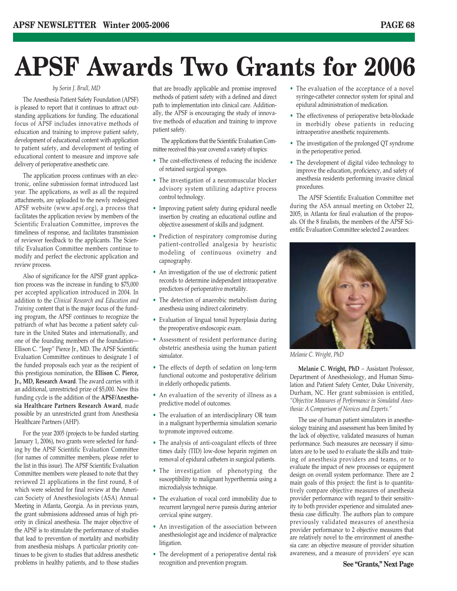# **APSF Awards Two Grants for 2006**

#### *by Sorin J. Brull, MD*

The Anesthesia Patient Safety Foundation (APSF) is pleased to report that it continues to attract outstanding applications for funding. The educational focus of APSF includes innovative methods of education and training to improve patient safety, development of educational content with application to patient safety, and development of testing of educational content to measure and improve safe delivery of perioperative anesthetic care.

The application process continues with an electronic, online submission format introduced last year. The applications, as well as all the required attachments, are uploaded to the newly redesigned APSF website (www.apsf.org), a process that facilitates the application review by members of the Scientific Evaluation Committee, improves the timeliness of response, and facilitates transmission of reviewer feedback to the applicants. The Scientific Evaluation Committee members continue to modify and perfect the electronic application and review process.

Also of significance for the APSF grant application process was the increase in funding to \$75,000 per accepted application introduced in 2004. In addition to the *Clinical Research and Education and Training* content that is the major focus of the funding program, the APSF continues to recognize the patriarch of what has become a patient safety culture in the United States and internationally, and one of the founding members of the foundation— Ellison C. "Jeep" Pierce Jr., MD. The APSF Scientific Evaluation Committee continues to designate 1 of the funded proposals each year as the recipient of this prestigious nomination, the **Ellison C. Pierce, Jr., MD, Research Award**. The award carries with it an additional, unrestricted prize of \$5,000. New this funding cycle is the addition of the **APSF/Anesthesia Healthcare Partners Research Award**, made possible by an unrestricted grant from Anesthesia Healthcare Partners (AHP).

For the year 2005 (projects to be funded starting January 1, 2006), two grants were selected for funding by the APSF Scientific Evaluation Committee (for names of committee members, please refer to the list in this issue). The APSF Scientific Evaluation Committee members were pleased to note that they reviewed 21 applications in the first round, 8 of which were selected for final review at the American Society of Anesthesiologists (ASA) Annual Meeting in Atlanta, Georgia. As in previous years, the grant submissions addressed areas of high priority in clinical anesthesia. The major objective of the APSF is to stimulate the performance of studies that lead to prevention of mortality and morbidity from anesthesia mishaps. A particular priority continues to be given to studies that address anesthetic problems in healthy patients, and to those studies

that are broadly applicable and promise improved methods of patient safety with a defined and direct path to implementation into clinical care. Additionally, the APSF is encouraging the study of innovative methods of education and training to improve patient safety.

The applications that the Scientific Evaluation Committee received this year covered a variety of topics:

- The cost-effectiveness of reducing the incidence of retained surgical sponges.
- The investigation of a neuromuscular blocker advisory system utilizing adaptive process control technology.
- Improving patient safety during epidural needle insertion by creating an educational outline and objective assessment of skills and judgment.
- Prediction of respiratory compromise during patient-controlled analgesia by heuristic modeling of continuous oximetry and capnography.
- An investigation of the use of electronic patient records to determine independent intraoperative predictors of perioperative mortality.
- The detection of anaerobic metabolism during anesthesia using indirect calorimetry.
- Evaluation of lingual tonsil hyperplasia during the preoperative endoscopic exam.
- Assessment of resident performance during obstetric anesthesia using the human patient simulator.
- The effects of depth of sedation on long-term functional outcome and postoperative delirium in elderly orthopedic patients.
- An evaluation of the severity of illness as a predictive model of outcomes.
- The evaluation of an interdisciplinary OR team in a malignant hyperthermia simulation scenario to promote improved outcome.
- The analysis of anti-coagulant effects of three times daily (TID) low-dose heparin regimen on removal of epidural catheters in surgical patients.
- The investigation of phenotyping the susceptibility to malignant hyperthermia using a microdialysis technique.
- The evaluation of vocal cord immobility due to recurrent laryngeal nerve paresis during anterior cervical spine surgery.
- An investigation of the association between anesthesiologist age and incidence of malpractice litigation.
- The development of a perioperative dental risk recognition and prevention program.
- The evaluation of the acceptance of a novel syringe-catheter connector system for spinal and epidural administration of medication.
- The effectiveness of perioperative beta-blockade in morbidly obese patients in reducing intraoperative anesthetic requirements.
- The investigation of the prolonged QT syndrome in the perioperative period.
- The development of digital video technology to improve the education, proficiency, and safety of anesthesia residents performing invasive clinical procedures.

The APSF Scientific Evaluation Committee met during the ASA annual meeting on October 22, 2005, in Atlanta for final evaluation of the proposals. Of the 8 finalists, the members of the APSF Scientific Evaluation Committee selected 2 awardees:



*Melanie C. Wright, PhD*

**Melanie C. Wright, PhD** – Assistant Professor, Department of Anesthesiology, and Human Simulation and Patient Safety Center, Duke University, Durham, NC. Her grant submission is entitled, *"Objective Measures of Performance in Simulated Anesthesia: A Comparison of Novices and Experts."* 

The use of human patient simulators in anesthesiology training and assessment has been limited by the lack of objective, validated measures of human performance. Such measures are necessary if simulators are to be used to evaluate the skills and training of anesthesia providers and teams, or to evaluate the impact of new processes or equipment design on overall system performance. There are 2 main goals of this project: the first is to quantitatively compare objective measures of anesthesia provider performance with regard to their sensitivity to both provider experience and simulated anesthesia case difficulty. The authors plan to compare previously validated measures of anesthesia provider performance to 2 objective measures that are relatively novel to the environment of anesthesia care: an objective measure of provider situation awareness, and a measure of providers' eye scan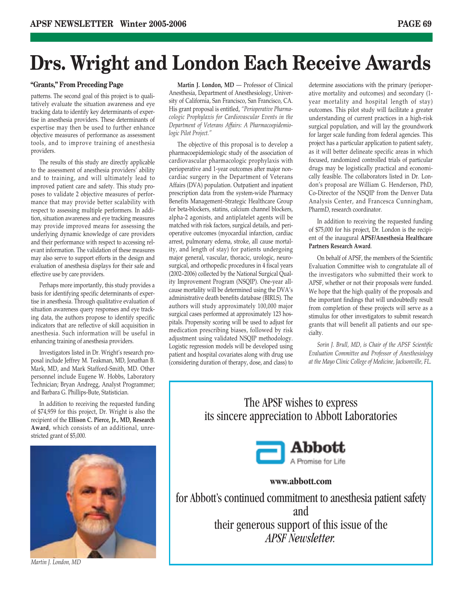# **Drs. Wright and London Each Receive Awards**

### **"Grants," From Preceding Page**

patterns. The second goal of this project is to qualitatively evaluate the situation awareness and eye tracking data to identify key determinants of expertise in anesthesia providers. These determinants of expertise may then be used to further enhance objective measures of performance as assessment tools, and to improve training of anesthesia providers.

The results of this study are directly applicable to the assessment of anesthesia providers' ability and to training, and will ultimately lead to improved patient care and safety. This study proposes to validate 2 objective measures of performance that may provide better scalability with respect to assessing multiple performers. In addition, situation awareness and eye tracking measures may provide improved means for assessing the underlying dynamic knowledge of care providers and their performance with respect to accessing relevant information. The validation of these measures may also serve to support efforts in the design and evaluation of anesthesia displays for their safe and effective use by care providers.

Perhaps more importantly, this study provides a basis for identifying specific determinants of expertise in anesthesia. Through qualitative evaluation of situation awareness query responses and eye tracking data, the authors propose to identify specific indicators that are reflective of skill acquisition in anesthesia. Such information will be useful in enhancing training of anesthesia providers.

Investigators listed in Dr. Wright's research proposal include Jeffrey M. Teakman, MD, Jonathan B. Mark, MD, and Mark Stafford-Smith, MD. Other personnel include Eugene W. Hobbs, Laboratory Technician; Bryan Andregg, Analyst Programmer; and Barbara G. Phillips-Bute, Statistician.

In addition to receiving the requested funding of \$74,959 for this project, Dr. Wright is also the recipient of the **Ellison C. Pierce, Jr., MD, Research Award**, which consists of an additional, unrestricted grant of \$5,000.



*Martin J. London, MD*

**Martin J. London, MD** — Professor of Clinical Anesthesia, Department of Anesthesiology, University of California, San Francisco, San Francisco, CA. His grant proposal is entitled, *"Perioperative Pharmacologic Prophylaxis for Cardiovascular Events in the Department of Veterans Affairs: A Pharmacoepidemiologic Pilot Project."*

The objective of this proposal is to develop a pharmacoepidemiologic study of the association of cardiovascular pharmacologic prophylaxis with perioperative and 1-year outcomes after major noncardiac surgery in the Department of Veterans Affairs (DVA) population. Outpatient and inpatient prescription data from the system-wide Pharmacy Benefits Management–Strategic Healthcare Group for beta-blockers, statins, calcium channel blockers, alpha-2 agonists, and antiplatelet agents will be matched with risk factors, surgical details, and perioperative outcomes (myocardial infarction, cardiac arrest, pulmonary edema, stroke, all cause mortality, and length of stay) for patients undergoing major general, vascular, thoracic, urologic, neurosurgical, and orthopedic procedures in 4 fiscal years (2002–2006) collected by the National Surgical Quality Improvement Program (NSQIP). One-year allcause mortality will be determined using the DVA's administrative death benefits database (BIRLS). The authors will study approximately 100,000 major surgical cases performed at approximately 123 hospitals. Propensity scoring will be used to adjust for medication prescribing biases, followed by risk adjustment using validated NSQIP methodology. Logistic regression models will be developed using patient and hospital covariates along with drug use (considering duration of therapy, dose, and class) to

determine associations with the primary (perioperative mortality and outcomes) and secondary (1 year mortality and hospital length of stay) outcomes. This pilot study will facilitate a greater understanding of current practices in a high-risk surgical population, and will lay the groundwork for larger scale funding from federal agencies. This project has a particular application to patient safety, as it will better delineate specific areas in which focused, randomized controlled trials of particular drugs may be logistically practical and economically feasible. The collaborators listed in Dr. London's proposal are William G. Henderson, PhD, Co-Director of the NSQIP from the Denver Data Analysis Center, and Francesca Cunningham, PharmD, research coordinator.

In addition to receiving the requested funding of \$75,000 for his project, Dr. London is the recipient of the inaugural **APSF/Anesthesia Healthcare Partners Research Award**.

On behalf of APSF, the members of the Scientific Evaluation Committee wish to congratulate all of the investigators who submitted their work to APSF, whether or not their proposals were funded. We hope that the high quality of the proposals and the important findings that will undoubtedly result from completion of these projects will serve as a stimulus for other investigators to submit research grants that will benefit all patients and our specialty.

*Sorin J. Brull, MD, is Chair of the APSF Scientific Evaluation Committee and Professor of Anesthesiology at the Mayo Clinic College of Medicine, Jacksonville, FL.*

The APSF wishes to express its sincere appreciation to Abbott Laboratories



### **www.abbott.com**

for Abbott's continued commitment to anesthesia patient safety and their generous support of this issue of the *APSF Newsletter.*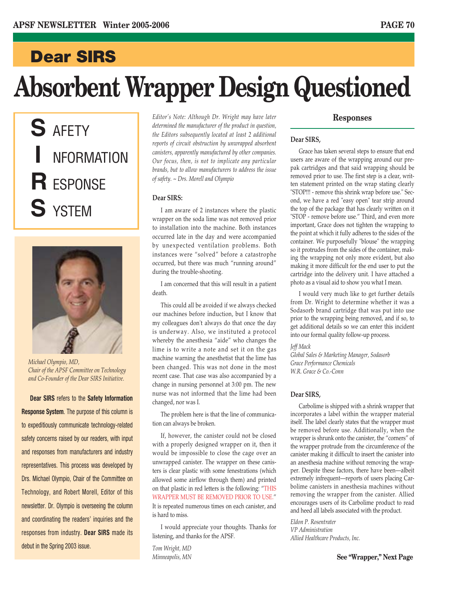### **Dear SIRS**

# **Absorbent Wrapper Design Questioned**

**S** AFETY **I** NFORMATION **R** ESPONSE **S** YSTEM



*Michael Olympio, MD, Chair of the APSF Committee on Technology and Co-Founder of the Dear SIRS Initiative.*

**Dear SIRS** refers to the **Safety Information Response System**. The purpose of this column is to expeditiously communicate technology-related safety concerns raised by our readers, with input and responses from manufacturers and industry representatives. This process was developed by Drs. Michael Olympio, Chair of the Committee on Technology, and Robert Morell, Editor of this newsletter. Dr. Olympio is overseeing the column and coordinating the readers' inquiries and the responses from industry. **Dear SIRS** made its debut in the Spring 2003 issue.

*Editor's Note: Although Dr. Wright may have later determined the manufacturer of the product in question, the Editors subsequently located at least 2 additional reports of circuit obstruction by unwrapped absorbent canisters, apparently manufactured by other companies. Our focus, then, is not to implicate any particular brands, but to allow manufacturers to address the issue of safety. ~ Drs. Morell and Olympio*

### **Dear SIRS:**

I am aware of 2 instances where the plastic wrapper on the soda lime was not removed prior to installation into the machine. Both instances occurred late in the day and were accompanied by unexpected ventilation problems. Both instances were "solved" before a catastrophe occurred, but there was much "running around" during the trouble-shooting.

I am concerned that this will result in a patient death.

This could all be avoided if we always checked our machines before induction, but I know that my colleagues don't always do that once the day is underway. Also, we instituted a protocol whereby the anesthesia "aide" who changes the lime is to write a note and set it on the gas machine warning the anesthetist that the lime has been changed. This was not done in the most recent case. That case was also accompanied by a change in nursing personnel at 3:00 pm. The new nurse was not informed that the lime had been changed, nor was I.

The problem here is that the line of communication can always be broken.

If, however, the canister could not be closed with a properly designed wrapper on it, then it would be impossible to close the cage over an unwrapped canister. The wrapper on these canisters is clear plastic with some fenestrations (which allowed some airflow through them) and printed on that plastic in red letters is the following: "THIS WRAPPER MUST BE REMOVED PRIOR TO USE." It is repeated numerous times on each canister, and is hard to miss.

I would appreciate your thoughts. Thanks for listening, and thanks for the APSF.

*Tom Wright, MD Minneapolis, MN*

### **Responses**

### **Dear SIRS,**

Grace has taken several steps to ensure that end users are aware of the wrapping around our prepak cartridges and that said wrapping should be removed prior to use. The first step is a clear, written statement printed on the wrap stating clearly "STOP!!! - remove this shrink wrap before use." Second, we have a red "easy open" tear strip around the top of the package that has clearly written on it "STOP - remove before use." Third, and even more important, Grace does not tighten the wrapping to the point at which it fully adheres to the sides of the container. We purposefully "blouse" the wrapping so it protrudes from the sides of the container, making the wrapping not only more evident, but also making it more difficult for the end user to put the cartridge into the delivery unit. I have attached a photo as a visual aid to show you what I mean.

I would very much like to get further details from Dr. Wright to determine whether it was a Sodasorb brand cartridge that was put into use prior to the wrapping being removed, and if so, to get additional details so we can enter this incident into our formal quality follow-up process.

*Jeff Mack*

*Global Sales & Marketing Manager, Sodasorb Grace Performance Chemicals W.R. Grace & Co.-Conn*

### **Dear SIRS,**

Carbolime is shipped with a shrink wrapper that incorporates a label within the wrapper material itself. The label clearly states that the wrapper must be removed before use. Additionally, when the wrapper is shrunk onto the canister, the "corners" of the wrapper protrude from the circumference of the canister making it difficult to insert the canister into an anesthesia machine without removing the wrapper. Despite these factors, there have been—albeit extremely infrequent—reports of users placing Carbolime canisters in anesthesia machines without removing the wrapper from the canister. Allied encourages users of its Carbolime product to read and heed all labels associated with the product.

*Eldon P. Rosentrater VP Administration Allied Healthcare Products, Inc.*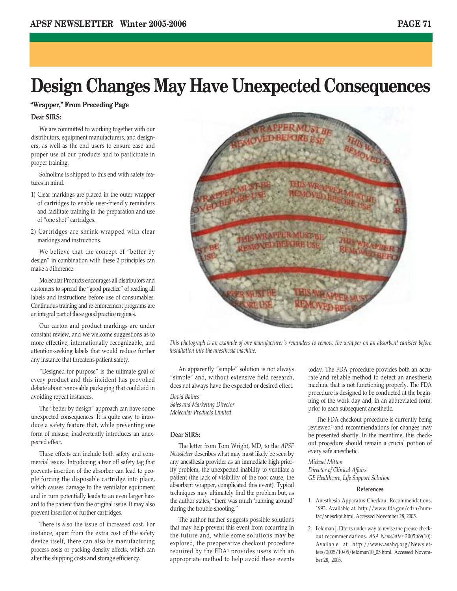# **Design Changes May Have Unexpected Consequences**

### **"Wrapper," From Preceding Page**

### **Dear SIRS:**

We are committed to working together with our distributors, equipment manufacturers, and designers, as well as the end users to ensure ease and proper use of our products and to participate in proper training.

Sofnolime is shipped to this end with safety features in mind.

- 1) Clear markings are placed in the outer wrapper of cartridges to enable user-friendly reminders and facilitate training in the preparation and use of "one shot" cartridges.
- 2) Cartridges are shrink-wrapped with clear markings and instructions.

We believe that the concept of "better by design" in combination with these 2 principles can make a difference.

Molecular Products encourages all distributors and customers to spread the "good practice" of reading all labels and instructions before use of consumables. Continuous training and re-enforcement programs are an integral part of these good practice regimes.

Our carton and product markings are under constant review, and we welcome suggestions as to more effective, internationally recognizable, and attention-seeking labels that would reduce further any instance that threatens patient safety.

"Designed for purpose" is the ultimate goal of every product and this incident has provoked debate about removable packaging that could aid in avoiding repeat instances.

The "better by design" approach can have some unexpected consequences. It is quite easy to introduce a safety feature that, while preventing one form of misuse, inadvertently introduces an unexpected effect.

These effects can include both safety and commercial issues. Introducing a tear off safety tag that prevents insertion of the absorber can lead to people forcing the disposable cartridge into place, which causes damage to the ventilator equipment and in turn potentially leads to an even larger hazard to the patient than the original issue. It may also prevent insertion of further cartridges.

There is also the issue of increased cost. For instance, apart from the extra cost of the safety device itself, there can also be manufacturing process costs or packing density effects, which can alter the shipping costs and storage efficiency.

*This photograph is an example of one manufacturer's reminders to remove the wrapper on an absorbent canister before*

*installation into the anesthesia machine.*

An apparently "simple" solution is not always "simple" and, without extensive field research, does not always have the expected or desired effect.

*David Baines Sales and Marketing Director Molecular Products Limited*

### **Dear SIRS:**

The letter from Tom Wright, MD, to the *APSF Newsletter* describes what may most likely be seen by any anesthesia provider as an immediate high-priority problem, the unexpected inability to ventilate a patient (the lack of visibility of the root cause, the absorbent wrapper, complicated this event). Typical techniques may ultimately find the problem but, as the author states, "there was much 'running around' during the trouble-shooting."

The author further suggests possible solutions that may help prevent this event from occurring in the future and, while some solutions may be explored, the preoperative checkout procedure required by the FDA1 provides users with an appropriate method to help avoid these events

today. The FDA procedure provides both an accurate and reliable method to detect an anesthesia machine that is not functioning properly. The FDA procedure is designed to be conducted at the beginning of the work day and, in an abbreviated form, prior to each subsequent anesthetic.

The FDA checkout procedure is currently being reviewed2 and recommendations for changes may be presented shortly. In the meantime, this checkout procedure should remain a crucial portion of every safe anesthetic.

*Michael Mitton Director of Clinical Affairs GE Healthcare, Life Support Solution*

### **References**

- 1. Anesthesia Apparatus Checkout Recommendations, 1993. Available at: http://www.fda.gov/cdrh/humfac/anesckot.html. Accessed November 28, 2005.
- 2. Feldman J. Efforts under way to revise the preuse checkout recommendations. *ASA Newsletter* 2005;69(10): Available at http://www.asahq.org/Newsletters/2005/10-05/feldman10\_05.html. Accessed November 28, 2005.

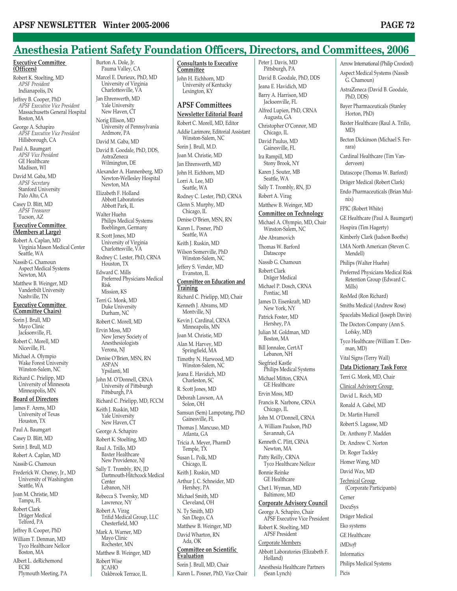Burton A. Dole, Jr. Pauma Valley, CA

### **Anesthesia Patient Safety Foundation Officers, Directors, and Committees, 2006**

#### **Executive Committee (Officers)**

Robert K. Stoelting, MD *APSF President* Indianapolis, IN Jeffrey B. Cooper, PhD *APSF Executive Vice President* Massachusetts General Hospital Boston, MA

George A. Schapiro *APSF Executive Vice President* Hillsborough, CA

Paul A. Baumgart *APSF Vice President* GE Healthcare Madison, WI

David M. Gaba, MD *APSF Secretary* Stanford University Palo Alto, CA Casey D. Blitt, MD

*APSF Treasurer* Tucson, AZ

#### **Executive Committee (Members at Large)**

Robert A. Caplan, MD Virginia Mason Medical Center Seattle, WA Nassib G. Chamoun

Aspect Medical Systems Newton, MA Matthew B. Weinger, MD Vanderbilt University Nashville, TN

#### **Executive Committee (Committee Chairs)**

Sorin J. Brull, MD Mayo Clinic Jacksonville, FL

Robert C. Morell, MD Niceville, FL Michael A. Olympio

Wake Forest University Winston-Salem, NC Richard C. Prielipp, MD

University of Minnesota Minneapolis, MN

### **Board of Directors**

James F. Arens, MD University of Texas Houston, TX Paul A. Baumgart Casey D. Blitt, MD Sorin J. Brull, M.D Robert A. Caplan, MD Nassib G. Chamoun Frederick W. Cheney, Jr., MD University of Washington Seattle, WA Joan M. Christie, MD Tampa, FL Robert Clark Dräger Medical Telford, PA Jeffrey B. Cooper, PhD William T. Denman, MD Tyco Healthcare Nellcor Boston, MA Albert L. deRichemond ECRI

Plymouth Meeting, PA

Marcel E. Durieux, PhD, MD University of Virginia Charlottesville, VA Jan Ehrenwerth, MD Yale University New Haven, CT Norig Ellison, MD University of Pennsylvania Ardmore, PA David M. Gaba, MD David B. Goodale, PhD, DDS, AstraZeneca Wilmington, DE Alexander A. Hannenberg, MD Newton-Wellesley Hospital Newton, MA Elizabeth F. Holland Abbott Laboratories Abbott Park, IL Walter Huehn Philips Medical Systems Boeblingen, Germany R. Scott Jones, MD University of Virginia Charlottesville, VA Rodney C. Lester, PhD, CRNA Houston, TX Edward C. Mills Preferred Physicians Medical Risk Mission, KS Terri G. Monk, MD Duke University Durham, NC Robert C. Morell, MD Ervin Moss, MD New Jersey Society of Anesthesiologists Verona, NJ Denise O'Brien, MSN, RN ASPAN Ypsilanti, MI John M. O'Donnell, CRNA University of Pittsburgh Pittsburgh, PA Richard C. Prielipp, MD, FCCM Keith J. Ruskin, MD Yale University New Haven, CT George A. Schapiro Robert K. Stoelting, MD Raul A. Trillo, MD Baxter Healthcare New Providence, NJ Sally T. Trombly, RN, JD Dartmouth-Hitchcock Medical Center Lebanon, NH Rebecca S. Twersky, MD Lawrence, NY Robert A. Virag Trifid Medical Group, LLC Chesterfield, MO Mark A. Warner, MD Mayo Clinic Rochester, MN Matthew B. Weinger, MD Robert Wise **JCAHO** Oakbrook Terrace, IL

**Consultants to Executive Committee** John H. Eichhorn, MD University of Kentucky Lexington, KY

### **APSF Committees Newsletter Editorial Board**

Robert C. Morell, MD, Editor Addie Larimore, Editorial Assistant Winston-Salem, NC Sorin J. Brull, M.D. Joan M. Christie, MD Jan Ehrenwerth, MD John H. Eichhorn, MD Lorri A. Lee, MD Seattle, WA Rodney C. Lester, PhD, CRNA Glenn S. Murphy, MD Chicago, IL Denise O'Brien, MSN, RN Karen L. Posner, PhD Seattle, WA Keith J. Ruskin, MD Wilson Somerville, PhD Winston-Salem, NC Jeffery S. Vender, MD Evanston, IL **Committee on Education and Training** Richard C. Prielipp, MD, Chair Kenneth J. Abrams, MD Montville, NJ Kevin J. Cardinal, CRNA Minneapolis, MN Joan M. Christie, MD Alan M. Harvey, MD Springfield, MA Timothy N. Harwood, MD Winston-Salem, NC Jeana E. Havidich, MD Charleston, SC R. Scott Jones, MD Deborah Lawson, AA Solon, OH Samsun (Sem) Lampotang, PhD Gainesville, FL Thomas J. Mancuso, MD Atlanta, GA Tricia A. Meyer, PharmD Temple, TX Susan L. Polk, MD Chicago, IL Keith J. Ruskin, MD Arthur J. C. Schneider, MD Hershey, PA Michael Smith, MD Cleveland, OH N. Ty Smith, MD San Diego, CA Matthew B. Weinger, MD David Wharton, RN Ada, OK **Committee on Scientific Evaluation** Sorin J. Brull, MD, Chair Karen L. Posner, PhD, Vice Chair

Peter J. Davis, MD Pittsburgh, PA David B. Goodale, PhD, DDS Jeana E. Havidich, MD Barry A. Harrison, MD Jacksonville, FL Alfred Lupien, PhD, CRNA Augusta, GA Christopher O'Connor, MD Chicago, IL David Paulus, MD Gainesville, FL Ira Rampill, MD Stony Brook, NY Karen I. Souter, MB Seattle, WA Sally T. Trombly, RN, JD Robert A. Virag Matthew B. Weinger, MD **Committee on Technology** Michael A. Olympio, MD, Chair Winston-Salem, NC Abe Abramovich Thomas W. Barford Datascope Nassib G. Chamoun Robert Clark Dräger Medical Michael P. Dosch, CRNA Pontiac, MI James D. Eisenkraft, MD New York, NY Patrick Foster, MD Hershey, PA Julian M. Goldman, MD Boston, MA Bill Jonnalee, CertAT Lebanon, NH Siegfried Kastle Philips Medical Systems Michael Mitton, CRNA GE Healthcare Ervin Moss, MD Francis R. Narbone, CRNA Chicago, IL John M. O'Donnell, CRNA A. William Paulson, PhD Savannah, GA Kenneth C. Plitt, CRNA Newton, MA Patty Reilly, CRNA Tyco Healthcare Nellcor Bonnie Reinke GE Healthcare Chet I. Wyman, MD Baltimore, MD **Corporate Advisory Council** George A. Schapiro, Chair APSF Executive Vice President Robert K. Stoelting, MD APSF President Corporate Members Abbott Laboratories (Elizabeth F. Holland)

Anesthesia Healthcare Partners

(Sean Lynch)

Arrow International (Philip Croxford) Aspect Medical Systems (Nassib G. Chamoun) AstraZeneca (David B. Goodale, PhD, DDS) Bayer Pharmaceuticals (Stanley Horton, PhD) Baxter Healthcare (Raul A. Trillo, MD) Becton Dickinson (Michael S. Ferrara) Cardinal Healthcare (Tim Vanderveen) Datascope (Thomas W. Barford) Dräger Medical (Robert Clark) Endo Pharmaceuticals (Brian Mulnix) FPIC (Robert White) GE Healthcare (Paul A. Baumgart) Hospira (Tim Hagerty) Kimberly Clark (Judson Boothe) LMA North American (Steven C. Mendell) Philips (Walter Huehn) Preferred Physicians Medical Risk Retention Group (Edward C. Mills) ResMed (Ron Richard) Smiths Medical (Andrew Rose) Spacelabs Medical (Joseph Davin) The Doctors Company (Ann S. Lofsky, MD) Tyco Healthcare (William T. Denman, MD) Vital Signs (Terry Wall) **Data Dictionary Task Force** Terri G. Monk, MD, Chair Clinical Advisory Group David L. Reich, MD Ronald A. Gabel, MD Dr. Martin Hurrell Robert S. Lagasse, MD Dr. Anthony P. Madden Dr. Andrew C. Norton Dr. Roger Tackley Homer Wang, MD David Wax, MD Technical Group (Corporate Participants) Cerner DocuSys Dräger Medical Eko systems GE Healthcare iMD*soft* Informatics Philips Medical Systems Picis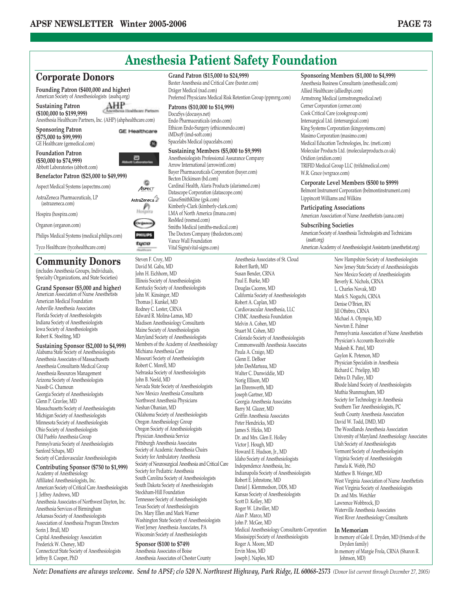

(includes Anesthesia Groups, Individuals, Specialty Organizations, and State Societies)

**Grand Sponsor (\$5,000 and higher)** American Association of Nurse Anesthetists American Medical Foundation Asheville Anesthesia Associates Florida Society of Anesthesiologists Indiana Society of Anesthesiologists Iowa Society of Anesthesiologists Robert K. Stoelting, MD

**Sustaining Sponsor (\$2,000 to \$4,999)** Alabama State Society of Anesthesiologists Anesthesia Associates of Massachusetts Anesthesia Consultants Medical Group Anesthesia Resources Management Arizona Society of Anesthesiologists Nassib G. Chamoun Georgia Society of Anesthesiologists Glenn P. Gravlee, MD Massachusetts Society of Anesthesiologists Michigan Society of Anesthesiologists Minnesota Society of Anesthesiologists Ohio Society of Anesthesiologists Old Pueblo Anesthesia Group Pennsylvania Society of Anesthesiologists Sanford Schaps, MD Society of Cardiovascular Anesthesiologists

**Contributing Sponsor (\$750 to \$1,999)** Academy of Anesthesiology

Affiliated Anesthesiologists, Inc. American Society of Critical Care Anesthesiologists J. Jeffrey Andrews, MD Anesthesia Associates of Northwest Dayton, Inc. Anesthesia Services of Birmingham Arkansas Society of Anesthesiologists Association of Anesthesia Program Directors Sorin J. Brull, MD Capital Anesthesiology Association Frederick W. Cheney, MD Connecticut State Society of Anesthesiologists Jeffrey B. Cooper, PhD

David M. Gaba, MD John H. Eichhorn, MD Illinois Society of Anesthesiologists Kentucky Society of Anesthesiologists John W. Kinsinger, MD Thomas I. Kunkel, MD Rodney C. Lester, CRNA Edward R. Molina-Lamas, MD Madison Anesthesiology Consultants Maine Society of Anesthesiologists Maryland Society of Anesthesiologists Members of the Academy of Anesthesiology Michiana Anesthesia Care Missouri Society of Anesthesiologists Robert C. Morell, MD Nebraska Society of Anesthesiologists John B. Neeld, MD Nevada State Society of Anesthesiologists New Mexico Anesthesia Consultants Northwest Anesthesia Physicians Neshan Ohanian, MD Oklahoma Society of Anesthesiologists Oregon Anesthesiology Group Oregon Society of Anesthesiologists Physician Anesthesia Service Pittsburgh Anesthesia Associates Society of Academic Anesthesia Chairs Society for Ambulatory Anesthesia Society of Neurosurgical Anesthesia and Critical Care Society for Pediatric Anesthesia South Carolina Society of Anesthesiologists South Dakota Society of Anesthesiologists Stockham-Hill Foundation Tennessee Society of Anesthesiologists Texas Society of Anesthesiologists Drs. Mary Ellen and Mark Warner Washington State Society of Anesthesiologists West Jersey Anesthesia Associates, PA Wisconsin Society of Anesthesiologists **Sponsor (\$100 to \$749)** Anesthesia Associates of Boise Anesthesia Associates of Chester County

Susan Bender, CRNA Paul E. Burke, MD Douglas Caceres, MD California Society of Anesthesiologists Robert A. Caplan, MD Cardiovascular Anesthesia, LLC CHMC Anesthesia Foundation Melvin A. Cohen, MD Stuart M. Cohen, MD Colorado Society of Anesthesiologists Commonwealth Anesthesia Associates Paula A. Craigo, MD Glenn E. DeBoer John DesMarteau, MD Walter C. Dunwiddie, MD Norig Ellison, MD Jan Ehrenwerth, MD Joseph Gartner, MD Georgia Anesthesia Associates Barry M. Glazer, MD Griffin Anesthesia Associates Peter Hendricks, MD James S. Hicks, MD Dr. and Mrs. Glen E. Holley Victor J. Hough, MD Howard E. Hudson, Jr., MD Idaho Society of Anesthesiologists Independence Anesthesia, Inc. Indianapolis Society of Anesthesiologists Robert E. Johnstone, MD Daniel J. Klemmedson, DDS, MD Kansas Society of Anesthesiologists Scott D. Kelley, MD Roger W. Litwiller, MD Alan P. Marco, MD John P. McGee, MD Medical Anesthesiology Consultants Corporation Mississippi Society of Anesthesiologists Roger A. Moore, MD Ervin Moss, MD Joseph J. Naples, MD

New Jersey State Society of Anesthesiologists New Mexico Society of Anesthesiologists Beverly K. Nichols, CRNA L. Charles Novak, MD Mark S. Noguchi, CRNA Denise O'Brien, RN Jill Oftebro, CRNA Michael A. Olympio, MD Newton E. Palmer Pennsylvania Association of Nurse Anesthetists Physician's Accounts Receivable Mukesh K. Patel, MD Gaylon K. Peterson, MD Physician Specialists in Anesthesia Richard C. Prielipp, MD Debra D. Pulley, MD Rhode Island Society of Anesthesiologists Muthia Shanmugham, MD Society for Technology in Anesthesia Southern Tier Anesthesiologists, PC South County Anesthesia Association David W. Todd, DMD, MD The Woodlands Anesthesia Association University of Maryland Anesthesiology Associates Utah Society of Anesthesiologists Vermont Society of Anesthesiologists Virginia Society of Anesthesiologists Pamela K. Webb, PhD Matthew B. Weinger, MD West Virginia Association of Nurse Anesthetists West Virginia Society of Anesthesiologists Dr. and Mrs. Wetchler Lawrence Wobbrock, JD Waterville Anesthesia Associates West River Anesthesiology Consultants

### **In Memoriam**

In memory of Gale E. Dryden, MD (friends of the Dryden family) In memory of Margie Frola, CRNA (Sharon R. Johnson, MD)

*Note: Donations are always welcome. Send to APSF; c/o 520 N. Northwest Highway, Park Ridge, IL 60068-2573 (Donor list current through December 27, 2005)*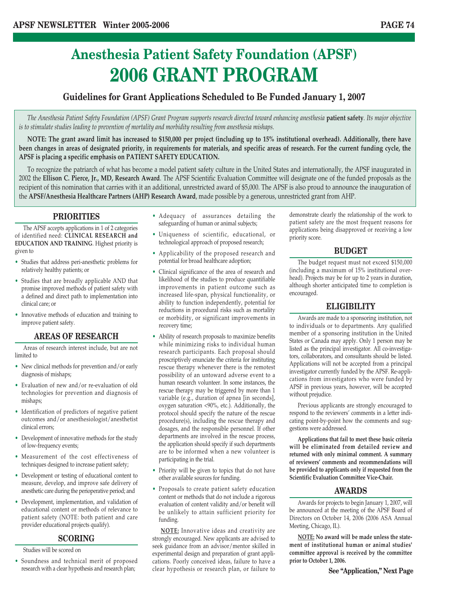## **Anesthesia Patient Safety Foundation (APSF) 2006 GRANT PROGRAM**

### **Guidelines for Grant Applications Scheduled to Be Funded January 1, 2007**

*The Anesthesia Patient Safety Foundation (APSF) Grant Program supports research directed toward enhancing anesthesia* **patient safety***. Its major objective is to stimulate studies leading to prevention of mortality and morbidity resulting from anesthesia mishaps.* 

**NOTE: The grant award limit has increased to \$150,000 per project (including up to 15% institutional overhead). Additionally, there have been changes in areas of designated priority, in requirements for materials, and specific areas of research. For the current funding cycle, the APSF is placing a specific emphasis on PATIENT SAFETY EDUCATION.**

To recognize the patriarch of what has become a model patient safety culture in the United States and internationally, the APSF inaugurated in 2002 the **Ellison C. Pierce, Jr., MD, Research Award**. The APSF Scientific Evaluation Committee will designate one of the funded proposals as the recipient of this nomination that carries with it an additional, unrestricted award of \$5,000. The APSF is also proud to announce the inauguration of the **APSF/Anesthesia Healthcare Partners (AHP) Research Award**, made possible by a generous, unrestricted grant from AHP.

### **PRIORITIES**

The APSF accepts applications in 1 of 2 categories of identified need: **CLINICAL RESEARCH and EDUCATION AND TRAINING**. Highest priority is given to

- Studies that address peri-anesthetic problems for relatively healthy patients; or
- Studies that are broadly applicable AND that promise improved methods of patient safety with a defined and direct path to implementation into clinical care; or
- Innovative methods of education and training to improve patient safety.

### **AREAS OF RESEARCH**

Areas of research interest include, but are not limited to

- New clinical methods for prevention and/or early diagnosis of mishaps;
- Evaluation of new and/or re-evaluation of old technologies for prevention and diagnosis of mishaps;
- Identification of predictors of negative patient outcomes and/or anesthesiologist/anesthetist clinical errors;
- Development of innovative methods for the study of low-frequency events;
- Measurement of the cost effectiveness of techniques designed to increase patient safety;
- Development or testing of educational content to measure, develop, and improve safe delivery of anesthetic care during the perioperative period; and
- Development, implementation, and validation of educational content or methods of relevance to patient safety (NOTE: both patient and care provider educational projects qualify).

### **SCORING**

### Studies will be scored on

• Soundness and technical merit of proposed research with a clear hypothesis and research plan;

- Adequacy of assurances detailing the safeguarding of human or animal subjects;
- Uniqueness of scientific, educational, or technological approach of proposed research;
- Applicability of the proposed research and potential for broad healthcare adoption;
- Clinical significance of the area of research and likelihood of the studies to produce quantifiable improvements in patient outcome such as increased life-span, physical functionality, or ability to function independently, potential for reductions in procedural risks such as mortality or morbidity, or significant improvements in recovery time;
- Ability of research proposals to maximize benefits while minimizing risks to individual human research participants. Each proposal should proscriptively enunciate the criteria for instituting rescue therapy whenever there is the remotest possibility of an untoward adverse event to a human research volunteer. In some instances, the rescue therapy may be triggered by more than 1 variable (e.g., duration of apnea [in seconds], oxygen saturation <90%, etc.). Additionally, the protocol should specify the nature of the rescue procedure(s), including the rescue therapy and dosages, and the responsible personnel. If other departments are involved in the rescue process, the application should specify if such departments are to be informed when a new volunteer is participating in the trial.
- Priority will be given to topics that do not have other available sources for funding.
- Proposals to create patient safety education content or methods that do not include a rigorous evaluation of content validity and/or benefit will be unlikely to attain sufficient priority for funding.

**NOTE:** Innovative ideas and creativity are strongly encouraged. New applicants are advised to seek guidance from an advisor/mentor skilled in experimental design and preparation of grant applications. Poorly conceived ideas, failure to have a clear hypothesis or research plan, or failure to demonstrate clearly the relationship of the work to patient safety are the most frequent reasons for applications being disapproved or receiving a low priority score.

### **BUDGET**

The budget request must not exceed \$150,000 (including a maximum of 15% institutional overhead). Projects may be for up to 2 years in duration, although shorter anticipated time to completion is encouraged.

### **ELIGIBILITY**

Awards are made to a sponsoring institution, not to individuals or to departments. Any qualified member of a sponsoring institution in the United States or Canada may apply. Only 1 person may be listed as the principal investigator. All co-investigators, collaborators, and consultants should be listed. Applications will not be accepted from a principal investigator currently funded by the APSF. Re-applications from investigators who were funded by APSF in previous years, however, will be accepted without prejudice.

Previous applicants are strongly encouraged to respond to the reviewers' comments in a letter indicating point-by-point how the comments and suggestions were addressed.

**Applications that fail to meet these basic criteria will be eliminated from detailed review and returned with only minimal comment. A summary of reviewers' comments and recommendations will be provided to applicants only if requested from the Scientific Evaluation Committee Vice-Chair.**

### **AWARDS**

Awards for projects to begin January 1, 2007, will be announced at the meeting of the APSF Board of Directors on October 14, 2006 (2006 ASA Annual Meeting, Chicago, IL).

**NOTE: No award will be made unless the statement of institutional human or animal studies' committee approval is received by the committee prior to October 1, 2006.**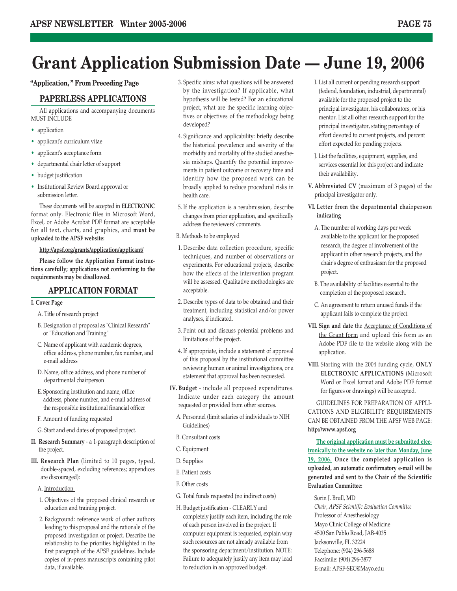## **Grant Application Submission Date — June 19, 2006**

### **"Application, " From Preceding Page**

### **PAPERLESS APPLICATIONS**

All applications and accompanying documents MUST INCLUDE

- application
- applicant's curriculum vitae
- applicant's acceptance form
- departmental chair letter of support
- budget justification
- Institutional Review Board approval or submission letter.

These documents will be accepted in **ELECTRONIC** format only. Electronic files in Microsoft Word, Excel, or Adobe Acrobat PDF format are acceptable for all text, charts, and graphics, and **must be uploaded to the APSF website:** 

### **http://apsf.org/grants/application/applicant/**

**Please follow the Application Format instructions carefully; applications not conforming to the requirements may be disallowed.**

### **APPLICATION FORMAT**

### **I. Cover Page**

- A. Title of research project
- B. Designation of proposal as "Clinical Research" or "Education and Training"
- C. Name of applicant with academic degrees, office address, phone number, fax number, and e-mail address
- D. Name, office address, and phone number of departmental chairperson
- E. Sponsoring institution and name, office address, phone number, and e-mail address of the responsible institutional financial officer
- F. Amount of funding requested
- G. Start and end dates of proposed project.
- **II. Research Summary**  a 1-paragraph description of the project.
- **III. Research Plan** (limited to 10 pages, typed, double-spaced, excluding references; appendices are discouraged):
	- A. Introduction
	- 1. Objectives of the proposed clinical research or education and training project.
	- 2. Background: reference work of other authors leading to this proposal and the rationale of the proposed investigation or project. Describe the relationship to the priorities highlighted in the first paragraph of the APSF guidelines. Include copies of in-press manuscripts containing pilot data, if available.
- 3. Specific aims: what questions will be answered by the investigation? If applicable, what hypothesis will be tested? For an educational project, what are the specific learning objectives or objectives of the methodology being developed?
- 4. Significance and applicability: briefly describe the historical prevalence and severity of the morbidity and mortality of the studied anesthesia mishaps. Quantify the potential improvements in patient outcome or recovery time and identify how the proposed work can be broadly applied to reduce procedural risks in health care.
- 5. If the application is a resubmission, describe changes from prior application, and specifically address the reviewers' comments.
- B. Methods to be employed
- 1. Describe data collection procedure, specific techniques, and number of observations or experiments. For educational projects, describe how the effects of the intervention program will be assessed. Qualitative methodologies are acceptable.
- 2. Describe types of data to be obtained and their treatment, including statistical and/or power analyses, if indicated.
- 3. Point out and discuss potential problems and limitations of the project.
- 4. If appropriate, include a statement of approval of this proposal by the institutional committee reviewing human or animal investigations, or a statement that approval has been requested.
- **IV. Budget**  include all proposed expenditures. Indicate under each category the amount requested or provided from other sources.
	- A. Personnel (limit salaries of individuals to NIH Guidelines)
	- B. Consultant costs
	- C. Equipment
	- D. Supplies
	- E. Patient costs
	- F. Other costs
	- G. Total funds requested (no indirect costs)
	- H. Budget justification CLEARLY and completely justify each item, including the role of each person involved in the project. If computer equipment is requested, explain why such resources are not already available from the sponsoring department/institution. NOTE: Failure to adequately justify any item may lead to reduction in an approved budget.
- I. List all current or pending research support (federal, foundation, industrial, departmental) available for the proposed project to the principal investigator, his collaborators, or his mentor. List all other research support for the principal investigator, stating percentage of effort devoted to current projects, and percent effort expected for pending projects.
- J. List the facilities, equipment, supplies, and services essential for this project and indicate their availability.
- **V. Abbreviated CV** (maximum of 3 pages) of the principal investigator only.
- **VI. Letter from the departmental chairperson indicating**
	- A. The number of working days per week available to the applicant for the proposed research, the degree of involvement of the applicant in other research projects, and the chair's degree of enthusiasm for the proposed project.
	- B. The availability of facilities essential to the completion of the proposed research.
	- C. An agreement to return unused funds if the applicant fails to complete the project.
- **VII. Sign and date** the Acceptance of Conditions of the Grant form and upload this form as an Adobe PDF file to the website along with the application.
- **VIII.** Starting with the 2004 funding cycle, **ONLY ELECTRONIC APPLICATIONS** (Microsoft Word or Excel format and Adobe PDF format for figures or drawings) will be accepted.

GUIDELINES FOR PREPARATION OF APPLI-CATIONS AND ELIGIBILITY REQUIREMENTS CAN BE OBTAINED FROM THE APSF WEB PAGE: **http://www.apsf.org**

**The original application must be submitted electronically to the website no later than Monday, June 19, 2006. Once the completed application is uploaded, an automatic confirmatory e-mail will be generated and sent to the Chair of the Scientific Evaluation Committee:** 

Sorin J. Brull, MD *Chair, APSF Scientific Evaluation Committee* Professor of Anesthesiology Mayo Clinic College of Medicine 4500 San Pablo Road, JAB-4035 Jacksonville, FL 32224 Telephone: (904) 296-5688 Facsimile: (904) 296-3877 E-mail: APSF-SEC@Mayo.edu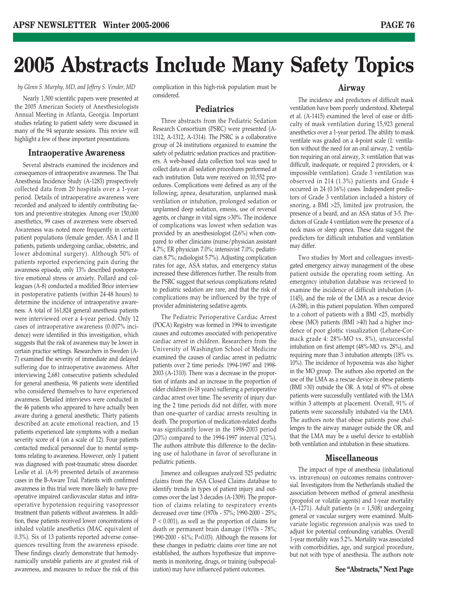# **2005 Abstracts Include Many Safety Topics**

*by Glenn S. Murphy, MD, and Jeffery S. Vender, MD*

Nearly 1,500 scientific papers were presented at the 2005 American Society of Anesthesiologists Annual Meeting in Atlanta, Georgia. Important studies relating to patient safety were discussed in many of the 94 separate sessions. This review will highlight a few of these important presentations.

### **Intraoperative Awareness**

Several abstracts examined the incidences and consequences of intraoperative awareness. The Thai Anesthesia Incidence Study (A-1283) prospectively collected data from 20 hospitals over a 1-year period. Details of intraoperative awareness were recorded and analyzed to identify contributing factors and preventive strategies. Among over 150,000 anesthetics, 99 cases of awareness were observed. Awareness was noted more frequently in certain patient populations (female gender, ASA I and II patients, patients undergoing cardiac, obstetric, and lower abdominal surgery). Although 50% of patients reported experiencing pain during the awareness episode, only 13% described postoperative emotional stress or anxiety. Pollard and colleagues (A-8) conducted a modified Brice interview in postoperative patients (within 24-48 hours) to determine the incidence of intraoperative awareness. A total of 161,824 general anesthesia patients were interviewed over a 4-year period. Only 12 cases of intraoperative awareness (0.007% incidence) were identified in this investigation, which suggests that the risk of awareness may be lower in certain practice settings. Researchers in Sweden (A-7) examined the severity of immediate and delayed suffering due to intraoperative awareness. After interviewing 2,681 consecutive patients scheduled for general anesthesia, 98 patients were identified who considered themselves to have experienced awareness. Detailed interviews were conducted in the 46 patients who appeared to have actually been aware during a general anesthetic. Thirty patients described an acute emotional reaction, and 15 patients experienced late symptoms with a median severity score of 4 (on a scale of 12). Four patients contacted medical personnel due to mental symptoms relating to awareness. However, only 1 patient was diagnosed with post-traumatic stress disorder. Leslie et al. (A-9) presented details of awareness cases in the B-Aware Trial. Patients with confirmed awareness in this trial were more likely to have preoperative impaired cardiovascular status and intraoperative hypotension requiring vasopressor treatment than patients without awareness. In addition, these patients received lower concentrations of inhaled volatile anesthetics (MAC equivalent of 0.3%). Six of 13 patients reported adverse consequences resulting from the awareness episode. These findings clearly demonstrate that hemodynamically unstable patients are at greatest risk of awareness, and measures to reduce the risk of this

complication in this high-risk population must be considered.

### **Pediatrics**

Three abstracts from the Pediatric Sedation Research Consortium (PSRC) were presented (A-1312, A-1312, A-1314). The PSRC is a collaborative group of 24 institutions organized to examine the safety of pediatric sedation practices and practitioners. A web-based data collection tool was used to collect data on all sedation procedures performed at each institution. Data were received on 10,552 procedures. Complications were defined as any of the following; apnea, desaturation, unplanned mask ventilation or intubation, prolonged sedation or unplanned deep sedation, emesis, use of reversal agents, or change in vital signs >30%. The incidence of complications was lowest when sedation was provided by an anesthesiologist (2.6%) when compared to other clinicians (nurse/physician assistant 4.7%; ER physician 7.0%; intensivist 7.0%; pediatrician 8.7%; radiologist 5.7%). Adjusting complication rates for age, ASA status, and emergency status increased these differences further. The results from the PSRC suggest that serious complications related to pediatric sedation are rare, and that the risk of complications may be influenced by the type of provider administering sedative agents.

The Pediatric Perioperative Cardiac Arrest (POCA) Registry was formed in 1994 to investigate causes and outcomes associated with perioperative cardiac arrest in children. Researchers from the University of Washington School of Medicine examined the causes of cardiac arrest in pediatric patients over 2 time periods: 1994-1997 and 1998- 2003 (A-1310). There was a decrease in the proportion of infants and an increase in the proportion of older children (6-18 years) suffering a perioperative cardiac arrest over time. The severity of injury during the 2 time periods did not differ, with more than one-quarter of cardiac arrests resulting in death. The proportion of medication-related deaths was significantly lower in the 1998-2003 period (20%) compared to the 1994-1997 interval (32%). The authors attribute this difference to the declining use of halothane in favor of sevoflurane in pediatric patients.

Jimenez and colleagues analyzed 525 pediatric claims from the ASA Closed Claims database to identify trends in types of patient injury and outcomes over the last 3 decades (A-1309). The proportion of claims relating to respiratory events decreased over time (1970s - 57%; 1990-2000 - 25%; P < 0.001), as well as the proportion of claims for death or permanent brain damage (1970s - 78%; 1990-2000 - 61%; P=0.03). Although the reasons for these changes in pediatric claims over time are not established, the authors hypothesize that improvements in monitoring, drugs, or training (subspecialization) may have influenced patient outcomes.

### **Airway**

The incidence and predictors of difficult mask ventilation have been poorly understood. Kheterpal et al. (A-1415) examined the level of ease or difficulty of mask ventilation during 15,923 general anesthetics over a 1-year period. The ability to mask ventilate was graded on a 4-point scale (1: ventilation without the need for an oral airway, 2: ventilation requiring an oral airway, 3: ventilation that was difficult, inadequate, or required 2 providers, or 4: impossible ventilation). Grade 3 ventilation was observed in 214 (1.3%) patients and Grade 4 occurred in 24 (0.16%) cases. Independent predictors of Grade 3 ventilation included a history of snoring, a BMI >25, limited jaw protrusion, the presence of a beard, and an ASA status of 3-5. Predictors of Grade 4 ventilation were the presence of a neck mass or sleep apnea. These data suggest the predictors for difficult intubation and ventilation may differ.

Two studies by Mort and colleagues investigated emergency airway management of the obese patient outside the operating room setting. An emergency intubation database was reviewed to examine the incidence of difficult intubation (A-1145), and the role of the LMA as a rescue device (A-288), in this patient population. When compared to a cohort of patients with a BMI <25, morbidly obese (MO) patients (BMI >40) had a higher incidence of poor glottic visualization (Lehane-Cormack grade 4: 28%-MO vs. 8%), unsuccessful intubation on first attempt (48%-MO vs. 28%), and requiring more than 3 intubation attempts (18% vs. 10%). The incidence of hypoxemia was also higher in the MO group. The authors also reported on the use of the LMA as a rescue device in obese patients (BMI >30) outside the OR. A total of 97% of obese patients were successfully ventilated with the LMA within 3 attempts at placement. Overall, 91% of patients were successfully intubated via the LMA. The authors note that obese patients pose challenges to the airway manager outside the OR, and that the LMA may be a useful device to establish both ventilation and intubation in these situations.

### **Miscellaneous**

The impact of type of anesthesia (inhalational vs. intravenous) on outcomes remains controversial. Investigators from the Netherlands studied the association between method of general anesthesia (propofol or volatile agents) and 1-year mortality  $(A-1271)$ . Adult patients (n = 1,508) undergoing general or vascular surgery were examined. Multivariate logistic regression analysis was used to adjust for potential confounding variables. Overall 1-year mortality was 5.2%. Mortality was associated with comorbidities, age, and surgical procedure, but not with type of anesthesia. The authors note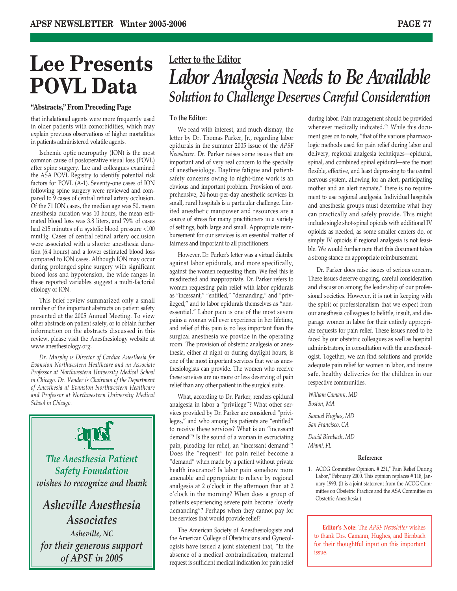# **Lee Presents POVL Data**

### **"Abstracts," From Preceding Page**

that inhalational agents were more frequently used in older patients with comorbidities, which may explain previous observations of higher mortalities in patients administered volatile agents.

Ischemic optic neuropathy (ION) is the most common cause of postoperative visual loss (POVL) after spine surgery. Lee and colleagues examined the ASA POVL Registry to identify potential risk factors for POVL (A-1). Seventy-one cases of ION following spine surgery were reviewed and compared to 9 cases of central retinal artery occlusion. Of the 71 ION cases, the median age was 50, mean anesthesia duration was 10 hours, the mean estimated blood loss was 3.8 liters, and 79% of cases had ≥15 minutes of a systolic blood pressure <100 mmHg. Cases of central retinal artery occlusion were associated with a shorter anesthesia duration (6.4 hours) and a lower estimated blood loss compared to ION cases. Although ION may occur during prolonged spine surgery with significant blood loss and hypotension, the wide ranges in these reported variables suggest a multi-factorial etiology of ION.

This brief review summarized only a small number of the important abstracts on patient safety presented at the 2005 Annual Meeting. To view other abstracts on patient safety, or to obtain further information on the abstracts discussed in this review, please visit the Anesthesiology website at www.anesthesiology.org.

*Dr. Murphy is Director of Cardiac Anesthesia for Evanston Northwestern Healthcare and an Associate Professor at Northwestern University Medical School in Chicago. Dr. Vender is Chairman of the Department of Anesthesia at Evanston Northwestern Healthcare and Professor at Northwestern University Medical School in Chicago.*



*of APSF in 2005*

### **Letter to the Editor** *Labor Analgesia Needs to Be Available Solution to Challenge Deserves Careful Consideration*

### **To the Editor:**

We read with interest, and much dismay, the letter by Dr. Thomas Parker, Jr., regarding labor epidurals in the summer 2005 issue of the *APSF Newsletter*. Dr. Parker raises some issues that are important and of very real concern to the specialty of anesthesiology. Daytime fatigue and patientsafety concerns owing to night-time work is an obvious and important problem. Provision of comprehensive, 24-hour-per-day anesthetic services in small, rural hospitals is a particular challenge. Limited anesthetic manpower and resources are a source of stress for many practitioners in a variety of settings, both large and small. Appropriate reimbursement for our services is an essential matter of fairness and important to all practitioners.

However, Dr. Parker's letter was a virtual diatribe against labor epidurals, and more specifically, against the women requesting them. We feel this is misdirected and inappropriate. Dr. Parker refers to women requesting pain relief with labor epidurals as "incessant," "entitled," "demanding," and "privileged," and to labor epidurals themselves as "nonessential." Labor pain is one of the most severe pains a woman will ever experience in her lifetime, and relief of this pain is no less important than the surgical anesthesia we provide in the operating room. The provision of obstetric analgesia or anesthesia, either at night or during daylight hours, is one of the most important services that we as anesthesiologists can provide. The women who receive these services are no more or less deserving of pain relief than any other patient in the surgical suite.

What, according to Dr. Parker, renders epidural analgesia in labor a "privilege"? What other services provided by Dr. Parker are considered "privileges," and who among his patients are "entitled" to receive these services? What is an "incessant demand"? Is the sound of a woman in excruciating pain, pleading for relief, an "incessant demand"? Does the "request" for pain relief become a "demand" when made by a patient without private health insurance? Is labor pain somehow more amenable and appropriate to relieve by regional analgesia at 2 o'clock in the afternoon than at 2 o'clock in the morning? When does a group of patients experiencing severe pain become "overly demanding"? Perhaps when they cannot pay for the services that would provide relief?

The American Society of Anesthesiologists and the American College of Obstetricians and Gynecologists have issued a joint statement that, "In the absence of a medical contraindication, maternal request is sufficient medical indication for pain relief

during labor. Pain management should be provided whenever medically indicated."1 While this document goes on to note, "that of the various pharmacologic methods used for pain relief during labor and delivery, regional analgesia techniques—epidural, spinal, and combined spinal epidural—are the most flexible, effective, and least depressing to the central nervous system, allowing for an alert, participating mother and an alert neonate," there is no requirement to use regional analgesia. Individual hospitals and anesthesia groups must determine what they can practically and safely provide. This might include single shot-spinal opioids with additional IV opioids as needed, as some smaller centers do, or simply IV opioids if regional analgesia is not feasible. We would further note that this document takes a strong stance on appropriate reimbursement.

Dr. Parker does raise issues of serious concern. These issues deserve ongoing, careful consideration and discussion among the leadership of our professional societies. However, it is not in keeping with the spirit of professionalism that we expect from our anesthesia colleagues to belittle, insult, and disparage women in labor for their entirely appropriate requests for pain relief. These issues need to be faced by our obstetric colleagues as well as hospital administrators, in consultation with the anesthesiologist. Together, we can find solutions and provide adequate pain relief for women in labor, and insure safe, healthy deliveries for the children in our respective communities.

*William Camann, MD Boston, MA*

*Samuel Hughes, MD San Francisco, CA*

*David Birnbach, MD Miami, FL*

### **Reference**

1. ACOG Committee Opinion, # 231," Pain Relief During Labor," February 2000. This opinion replaces # 118, January 1993. (It is a joint statement from the ACOG Committee on Obstetric Practice and the ASA Committee on Obstetric Anesthesia.)

**Editor's Note:** The *APSF Newsletter* wishes to thank Drs. Camann, Hughes, and Birnbach for their thoughtful input on this important issue.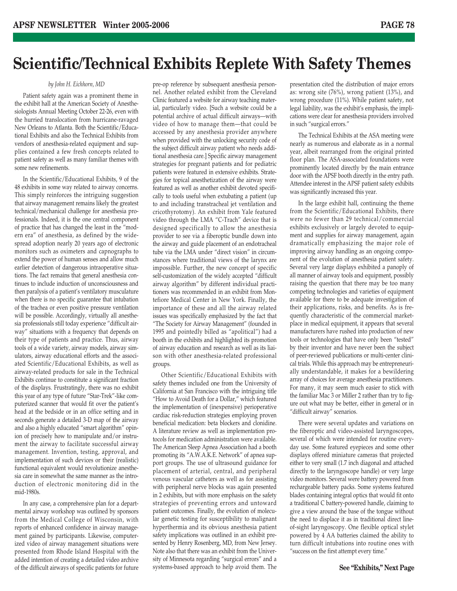### **Scientific/Technical Exhibits Replete With Safety Themes**

### *by John H. Eichhorn, MD*

Patient safety again was a prominent theme in the exhibit hall at the American Society of Anesthesiologists Annual Meeting October 22-26, even with the hurried translocation from hurricane-ravaged New Orleans to Atlanta. Both the Scientific/Educational Exhibits and also the Technical Exhibits from vendors of anesthesia-related equipment and supplies contained a few fresh concepts related to patient safety as well as many familiar themes with some new refinements.

In the Scientific/Educational Exhibits, 9 of the 48 exhibits in some way related to airway concerns. This simply reinforces the intriguing suggestion that airway management remains likely the greatest technical/mechanical challenge for anesthesia professionals. Indeed, it is the one central component of practice that has changed the least in the "modern era" of anesthesia, as defined by the widespread adoption nearly 20 years ago of electronic monitors such as oximeters and capnographs to extend the power of human senses and allow much earlier detection of dangerous intraoperative situations. The fact remains that general anesthesia continues to include induction of unconsciousness and then paralysis of a patient's ventilatory musculature when there is no specific guarantee that intubation of the trachea or even positive pressure ventilation will be possible. Accordingly, virtually all anesthesia professionals still today experience "difficult airway" situations with a frequency that depends on their type of patients and practice. Thus, airway tools of a wide variety, airway models, airway simulators, airway educational efforts and the associated Scientific/Educational Exhibits, as well as airway-related products for sale in the Technical Exhibits continue to constitute a significant fraction of the displays. Frustratingly, there was no exhibit this year of any type of future "Star-Trek"-like computerized scanner that would fit over the patient's head at the bedside or in an office setting and in seconds generate a detailed 3-D map of the airway and also a highly educated "smart algorithm" opinion of precisely how to manipulate and/or instrument the airway to facilitate successful airway management. Invention, testing, approval, and implementation of such devices or their (realistic) functional equivalent would revolutionize anesthesia care in somewhat the same manner as the introduction of electronic monitoring did in the mid-1980s.

In any case, a comprehensive plan for a departmental airway workshop was outlined by sponsors from the Medical College of Wisconsin, with reports of enhanced confidence in airway management gained by participants. Likewise, computerized video of airway management situations were presented from Rhode Island Hospital with the added intention of creating a detailed video archive of the difficult airways of specific patients for future

pre-op reference by subsequent anesthesia personnel. Another related exhibit from the Cleveland Clinic featured a website for airway teaching material, particularly video. [Such a website could be a potential archive of actual difficult airways—with video of how to manage them—that could be accessed by any anesthesia provider anywhere when provided with the unlocking security code of the subject difficult airway patient who needs additional anesthesia care.] Specific airway management strategies for pregnant patients and for pediatric patients were featured in extensive exhibits. Strategies for topical anesthetization of the airway were featured as well as another exhibit devoted specifically to tools useful when extubating a patient (up to and including transtracheal jet ventilation and cricothyrotomy). An exhibit from Yale featured video through the LMA "C-Trach" device that is designed specifically to allow the anesthesia provider to see via a fiberoptic bundle down into the airway and guide placement of an endotracheal tube via the LMA under "direct vision" in circumstances where traditional views of the larynx are impossible. Further, the new concept of specific self-customization of the widely accepted "difficult airway algorithm" by different individual practitioners was recommended in an exhibit from Montefiore Medical Center in New York. Finally, the importance of these and all the airway related issues was specifically emphasized by the fact that "The Society for Airway Management" (founded in 1995 and pointedly billed as "apolitical") had a booth in the exhibits and highlighted its promotion of airway education and research as well as its liaison with other anesthesia-related professional groups.

Other Scientific/Educational Exhibits with safety themes included one from the University of California at San Francisco with the intriguing title "How to Avoid Death for a Dollar," which featured the implementation of (inexpensive) perioperative cardiac risk-reduction strategies employing proven beneficial medication: beta blockers and clonidine. A literature review as well as implementation protocols for medication administration were available. The American Sleep Apnea Association had a booth promoting its "A.W.A.K.E. Network" of apnea support groups. The use of ultrasound guidance for placement of arterial, central, and peripheral venous vascular catheters as well as for assisting with peripheral nerve blocks was again presented in 2 exhibits, but with more emphasis on the safety strategies of preventing errors and untoward patient outcomes. Finally, the evolution of molecular genetic testing for susceptibility to malignant hyperthermia and its obvious anesthesia patient safety implications was outlined in an exhibit presented by Henry Rosenberg, MD, from New Jersey. Note also that there was an exhibit from the University of Minnesota regarding "surgical errors" and a systems-based approach to help avoid them. The

presentation cited the distribution of major errors as: wrong site (76%), wrong patient (13%), and wrong procedure (11%). While patient safety, not legal liability, was the exhibit's emphasis, the implications were clear for anesthesia providers involved in such "surgical errors."

The Technical Exhibits at the ASA meeting were nearly as numerous and elaborate as in a normal year, albeit rearranged from the original printed floor plan. The ASA-associated foundations were prominently located directly by the main entrance door with the APSF booth directly in the entry path. Attendee interest in the APSF patient safety exhibits was significantly increased this year.

In the large exhibit hall, continuing the theme from the Scientific/Educational Exhibits, there were no fewer than 29 technical/commercial exhibits exclusively or largely devoted to equipment and supplies for airway management, again dramatically emphasizing the major role of improving airway handling as an ongoing component of the evolution of anesthesia patient safety. Several very large displays exhibited a panoply of all manner of airway tools and equipment, possibly raising the question that there may be too many competing technologies and varieties of equipment available for there to be adequate investigation of their applications, risks, and benefits. As is frequently characteristic of the commercial marketplace in medical equipment, it appears that several manufacturers have rushed into production of new tools or technologies that have only been "tested" by their inventor and have never been the subject of peer-reviewed publications or multi-center clinical trials. While this approach may be entrepreneurially understandable, it makes for a bewildering array of choices for average anesthesia practitioners. For many, it may seem much easier to stick with the familiar Mac 3 or Miller 2 rather than try to figure out what may be better, either in general or in "difficult airway" scenarios.

There were several updates and variations on the fiberoptic and video-assisted laryngoscopes, several of which were intended for routine everyday use. Some featured eyepieces and some other displays offered miniature cameras that projected either to very small (1.7 inch diagonal and attached directly to the laryngoscope handle) or very large video monitors. Several were battery powered from rechargeable battery packs. Some systems featured blades containing integral optics that would fit onto a traditional C battery-powered handle, claiming to give a view around the base of the tongue without the need to displace it as in traditional direct lineof-sight laryngoscopy. One flexible optical stylet powered by 4 AA batteries claimed the ability to turn difficult intubations into routine ones with "success on the first attempt every time."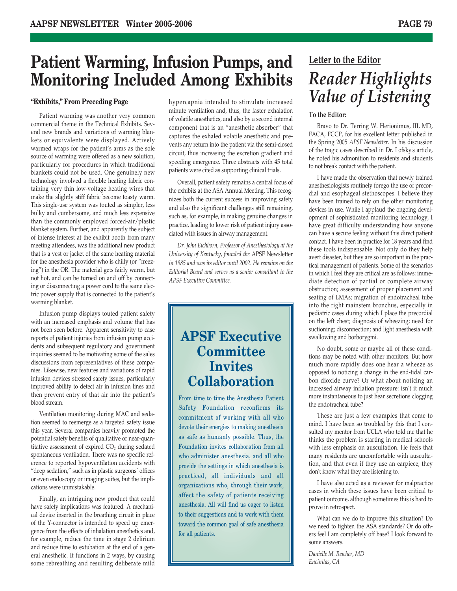### **Patient Warming, Infusion Pumps, and Monitoring Included Among Exhibits**

### **"Exhibits," From Preceding Page**

Patient warming was another very common commercial theme in the Technical Exhibits. Several new brands and variations of warming blankets or equivalents were displayed. Actively warmed wraps for the patient's arms as the sole source of warming were offered as a new solution, particularly for procedures in which traditional blankets could not be used. One genuinely new technology involved a flexible heating fabric containing very thin low-voltage heating wires that make the slightly stiff fabric become toasty warm. This single-use system was touted as simpler, less bulky and cumbersome, and much less expensive than the commonly employed forced-air/plastic blanket system. Further, and apparently the subject of intense interest at the exhibit booth from many meeting attendees, was the additional new product that is a vest or jacket of the same heating material for the anesthesia provider who is chilly (or "freezing") in the OR. The material gets fairly warm, but not hot, and can be turned on and off by connecting or disconnecting a power cord to the same electric power supply that is connected to the patient's warming blanket.

Infusion pump displays touted patient safety with an increased emphasis and volume that has not been seen before. Apparent sensitivity to case reports of patient injuries from infusion pump accidents and subsequent regulatory and government inquiries seemed to be motivating some of the sales discussions from representatives of these companies. Likewise, new features and variations of rapid infusion devices stressed safety issues, particularly improved ability to detect air in infusion lines and then prevent entry of that air into the patient's blood stream.

Ventilation monitoring during MAC and sedation seemed to reemerge as a targeted safety issue this year. Several companies heavily promoted the potential safety benefits of qualitative or near-quantitative assessment of expired  $CO<sub>2</sub>$  during sedated spontaneous ventilation. There was no specific reference to reported hypoventilation accidents with "deep sedation," such as in plastic surgeons' offices or even endoscopy or imaging suites, but the implications were unmistakable.

Finally, an intriguing new product that could have safety implications was featured. A mechanical device inserted in the breathing circuit in place of the Y-connector is intended to speed up emergence from the effects of inhalation anesthetics and, for example, reduce the time in stage 2 delirium and reduce time to extubation at the end of a general anesthetic. It functions in 2 ways, by causing some rebreathing and resulting deliberate mild

hypercapnia intended to stimulate increased minute ventilation and, thus, the faster exhalation of volatile anesthetics, and also by a second internal component that is an "anesthetic absorber" that captures the exhaled volatile anesthetic and prevents any return into the patient via the semi-closed circuit, thus increasing the excretion gradient and speeding emergence. Three abstracts with 45 total patients were cited as supporting clinical trials.

Overall, patient safety remains a central focus of the exhibits at the ASA Annual Meeting. This recognizes both the current success in improving safety and also the significant challenges still remaining, such as, for example, in making genuine changes in practice, leading to lower risk of patient injury associated with issues in airway management.

*Dr. John Eichhorn, Professor of Anesthesiology at the University of Kentucky, founded the* APSF Newsletter *in 1985 and was its editor until 2002. He remains on the Editorial Board and serves as a senior consultant to the APSF Executive Committee.*

### **APSF Executive Committee Invites Collaboration**

From time to time the Anesthesia Patient Safety Foundation reconfirms its commitment of working with all who devote their energies to making anesthesia as safe as humanly possible. Thus, the Foundation invites collaboration from all who administer anesthesia, and all who provide the settings in which anesthesia is practiced, all individuals and all organizations who, through their work, affect the safety of patients receiving anesthesia. All will find us eager to listen to their suggestions and to work with them toward the common goal of safe anesthesia for all patients.

### **Letter to the Editor** *Reader Highlights Value of Listening*

### **To the Editor:**

Bravo to Dr. Terring W. Herionimus, III, MD, FACA, FCCP, for his excellent letter published in the Spring 2005 *APSF Newsletter*. In his discussion of the tragic cases described in Dr. Lofsky's article, he noted his admonition to residents and students to not break contact with the patient.

I have made the observation that newly trained anesthesiologists routinely forego the use of precordial and esophageal stethoscopes. I believe they have been trained to rely on the other monitoring devices in use. While I applaud the ongoing development of sophisticated monitoring technology, I have great difficulty understanding how anyone can have a secure feeling without this direct patient contact. I have been in practice for 18 years and find these tools indispensable. Not only do they help avert disaster, but they are so important in the practical management of patients. Some of the scenarios in which I feel they are critical are as follows: immediate detection of partial or complete airway obstruction; assessment of proper placement and seating of LMAs; migration of endotracheal tube into the right mainstem bronchus, especially in pediatric cases during which I place the precordial on the left chest; diagnosis of wheezing; need for suctioning; disconnection; and light anesthesia with swallowing and borborygmi.

No doubt, some or maybe all of these conditions may be noted with other monitors. But how much more rapidly does one hear a wheeze as opposed to noticing a change in the end-tidal carbon dioxide curve? Or what about noticing an increased airway inflation pressure: isn't it much more instantaneous to just hear secretions clogging the endotracheal tube?

These are just a few examples that come to mind. I have been so troubled by this that I consulted my mentor from UCLA who told me that he thinks the problem is starting in medical schools with less emphasis on auscultation. He feels that many residents are uncomfortable with auscultation, and that even if they use an earpiece, they don't know what they are listening to.

I have also acted as a reviewer for malpractice cases in which these issues have been critical to patient outcome, although sometimes this is hard to prove in retrospect.

What can we do to improve this situation? Do we need to tighten the ASA standards? Or do others feel I am completely off base? I look forward to some answers.

*Danielle M. Reicher, MD Encinitas, CA*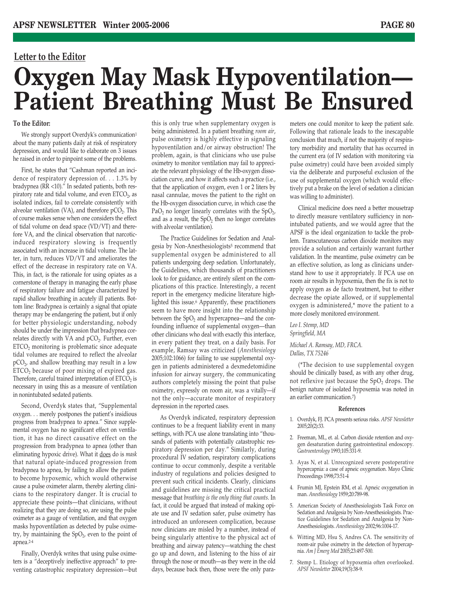### **Letter to the Editor**

# **Oxygen May Mask Hypoventilation— Patient Breathing Must Be Ensured**

### **To the Editor:**

We strongly support Overdyk's communication<sup>1</sup> about the many patients daily at risk of respiratory depression, and would like to elaborate on 3 issues he raised in order to pinpoint some of the problems.

First, he states that "Cashman reported an incidence of respiratory depression of. . . 1.3% by bradypnea (RR <10)." In sedated patients, both respiratory rate and tidal volume, and even  $ETCO<sub>2</sub>$  as isolated indices, fail to correlate consistently with alveolar ventilation  $(VA)$ , and therefore  $pCO<sub>2</sub>$ . This of course makes sense when one considers the effect of tidal volume on dead space (VD/VT) and therefore VA, and the clinical observation that narcoticinduced respiratory slowing is frequently associated with an increase in tidal volume. The latter, in turn, reduces VD/VT and ameliorates the effect of the decrease in respiratory rate on VA. This, in fact, is the rationale for using opiates as a cornerstone of therapy in managing the early phase of respiratory failure and fatigue characterized by rapid shallow breathing in acutely ill patients. Bottom line: Bradypnea is certainly a signal that opiate therapy may be endangering the patient, but if only for better physiologic understanding, nobody should be under the impression that bradypnea correlates directly with VA and  $pCO<sub>2</sub>$ . Further, even  $ETCO<sub>2</sub>$  monitoring is problematic since adequate tidal volumes are required to reflect the alveolar  $pCO<sub>2</sub>$ , and shallow breathing may result in a low  $ETCO<sub>2</sub>$  because of poor mixing of expired gas. Therefore, careful trained interpretation of  $ETCO<sub>2</sub>$  is necessary in using this as a measure of ventilation in nonintubated sedated patients.

Second, Overdyk states that, "Supplemental oxygen. . . merely postpones the patient's insidious progress from bradypnea to apnea." Since supplemental oxygen has no significant effect on ventilation, it has no direct causative effect on the progression from bradypnea to apnea (other than eliminating hypoxic drive). What it does do is *mask* that natural opiate-induced progression from bradypnea to apnea, by failing to allow the patient to become hypoxemic, which would otherwise cause a pulse oximeter alarm, thereby alerting clinicians to the respiratory danger. It is crucial to appreciate these points—that clinicians, without realizing that they are doing so, are using the pulse oximeter as a gauge of ventilation, and that oxygen masks hypoventilation as detected by pulse oximetry, by maintaining the  $SpO<sub>2</sub>$ , even to the point of apnea.2-4

Finally, Overdyk writes that using pulse oximeters is a "deceptively ineffective approach" to preventing catastrophic respiratory depression—but this is only true when supplementary oxygen is being administered. In a patient breathing *room air*, pulse oximetry is highly effective in signaling hypoventilation and/or airway obstruction! The problem, again, is that clinicians who use pulse oximetry to monitor ventilation may fail to appreciate the relevant physiology of the Hb-oxygen dissociation curve, and how it affects such a practice (i.e., that the application of oxygen, even 1 or 2 liters by nasal cannulae, moves the patient to the right on the Hb-oxygen dissociation curve, in which case the PaO<sub>2</sub> no longer linearly correlates with the SpO<sub>2</sub>, and as a result, the  $SpO<sub>2</sub>$  then no longer correlates with alveolar ventilation).

The Practice Guidelines for Sedation and Analgesia by Non-Anesthesiologists<sup>5</sup> recommend that supplemental oxygen be administered to all patients undergoing deep sedation. Unfortunately, the Guidelines, which thousands of practitioners look to for guidance, are entirely silent on the complications of this practice. Interestingly, a recent report in the emergency medicine literature highlighted this issue.6 Apparently, these practitioners seem to have more insight into the relationship between the  $SpO<sub>2</sub>$  and hypercapnea—and the confounding influence of supplemental oxygen—than other clinicians who deal with exactly this interface, in every patient they treat, on a daily basis. For example, Ramsay was criticized (*Anesthesiology* 2005;102:1066) for failing to use supplemental oxygen in patients administered a dexmedetomidine infusion for airway surgery, the communicating authors completely missing the point that pulse oximetry, expressly on room air, was a vitally—if not the only—accurate monitor of respiratory depression in the reported cases.

As Overdyk indicated, respiratory depression continues to be a frequent liability event in many settings, with PCA use alone translating into "thousands of patients with potentially catastrophic respiratory depression per day." Similarly, during procedural IV sedation, respiratory complications continue to occur commonly, despite a veritable industry of regulations and policies designed to prevent such critical incidents. Clearly, clinicians and guidelines are missing the critical practical message that *breathing is the only thing that counts*. In fact, it could be argued that instead of making opiate use and IV sedation safer, pulse oximetry has introduced an unforeseen complication, because now clinicians are misled by a number, instead of being singularly attentive to the physical act of breathing and airway patency—watching the chest go up and down, and listening to the hiss of air through the nose or mouth—as they were in the old days, because back then, those were the only parameters one could monitor to keep the patient safe. Following that rationale leads to the inescapable conclusion that much, if not the majority of respiratory morbidity and mortality that has occurred in the current era (of IV sedation with monitoring via pulse oximetry) could have been avoided simply via the deliberate and purposeful exclusion of the use of supplemental oxygen (which would effectively put a brake on the level of sedation a clinician was willing to administer).

Clinical medicine does need a better mousetrap to directly measure ventilatory sufficiency in nonintubated patients, and we would agree that the APSF is the ideal organization to tackle the problem. Transcutaneous carbon dioxide monitors may provide a solution and certainly warrant further validation. In the meantime, pulse oximetry can be an effective solution, as long as clinicians understand how to use it appropriately. If PCA use on room air results in hypoxemia, then the fix is not to apply oxygen as de facto treatment, but to either decrease the opiate allowed, or if supplemental oxygen is administered,\* move the patient to a more closely monitored environment.

*Leo I. Stemp, MD Springfield, MA Michael A. Ramsay, MD, FRCA. Dallas, TX 75246*

(\*The decision to use supplemental oxygen should be clinically based, as with any other drug, not reflexive just because the  $SpO<sub>2</sub>$  drops. The benign nature of isolated hypoxemia was noted in an earlier communication.7)

#### **References**

- 1. Overdyk, FJ. PCA presents serious risks. *APSF Newsletter* 2005;20(2):33.
- 2. Freeman, ML, et. al. Carbon dioxide retention and oxygen desaturation during gastrointestinal endoscopy. *Gastroenterology* 1993;105:331-9.
- 3. Ayas N, et al. Unrecognized severe postoperative hypercapnia: a case of apneic oxygenation. Mayo Clinic Proceedings 1998;73:51-4
- 4. Frumin MJ, Epstein RM, et al. Apneic oxygenation in man. *Anesthesiology* 1959;20:789-98.
- 5. American Society of Anesthesiologists Task Force on Sedation and Analgesia by Non-Anesthesiologists. Practice Guidelines for Sedation and Analgesia by Non-Anesthesiologists. *Anesthesiology* 2002;96:1004-17.
- 6. Witting MD, Hsu S, Andres CA. The sensitivity of room-air pulse oximetry in the detection of hypercapnia. *Am J Emerg Med* 2005;23:497-500.
- 7. Stemp L. Etiology of hypoxemia often overlooked. *APSF Newsletter* 2004;19(3):38-9.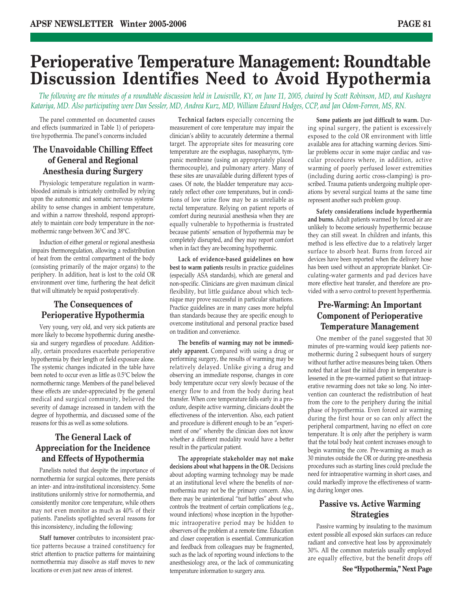### **Perioperative Temperature Management: Roundtable Discussion Identifies Need to Avoid Hypothermia**

*The following are the minutes of a roundtable discussion held in Louisville, KY, on June 11, 2005, chaired by Scott Robinson, MD, and Kushagra Katariya, MD. Also participating were Dan Sessler, MD, Andrea Kurz, MD, William Edward Hodges, CCP, and Jan Odom-Forren, MS, RN.* 

The panel commented on documented causes and effects (summarized in Table 1) of perioperative hypothermia. The panel's concerns included

### **The Unavoidable Chilling Effect of General and Regional Anesthesia during Surgery**

Physiologic temperature regulation in warmblooded animals is intricately controlled by relying upon the autonomic and somatic nervous systems' ability to sense changes in ambient temperature, and within a narrow threshold, respond appropriately to maintain core body temperature in the normothermic range between 36°C and 38°C.

Induction of either general or regional anesthesia impairs thermoregulation, allowing a redistribution of heat from the central compartment of the body (consisting primarily of the major organs) to the periphery. In addition, heat is lost to the cold OR environment over time, furthering the heat deficit that will ultimately be repaid postoperatively.

### **The Consequences of Perioperative Hypothermia**

Very young, very old, and very sick patients are more likely to become hypothermic during anesthesia and surgery regardless of procedure. Additionally, certain procedures exacerbate perioperative hypothermia by their length or field exposure alone. The systemic changes indicated in the table have been noted to occur even as little as 0.5°C below the normothermic range. Members of the panel believed these effects are under-appreciated by the general medical and surgical community, believed the severity of damage increased in tandem with the degree of hypothermia, and discussed some of the reasons for this as well as some solutions.

### **The General Lack of Appreciation for the Incidence and Effects of Hypothermia**

Panelists noted that despite the importance of normothermia for surgical outcomes, there persists an inter- and intra-institutional inconsistency. Some institutions uniformly strive for normothermia, and consistently monitor core temperature, while others may not even monitor as much as 40% of their patients. Panelists spotlighted several reasons for this inconsistency, including the following:

**Staff turnover** contributes to inconsistent practice patterns because a trained constituency for strict attention to practice patterns for maintaining normothermia may dissolve as staff moves to new locations or even just new areas of interest.

**Technical factors** especially concerning the measurement of core temperature may impair the clinician's ability to accurately determine a thermal target. The appropriate sites for measuring core temperature are the esophagus, nasopharynx, tympanic membrane (using an appropriately placed thermocouple), and pulmonary artery. Many of these sites are unavailable during different types of cases. Of note, the bladder temperature may accurately reflect other core temperatures, but in conditions of low urine flow may be as unreliable as rectal temperature. Relying on patient reports of comfort during neuraxial anesthesia when they are equally vulnerable to hypothermia is frustrated because patients' sensation of hypothermia may be completely disrupted, and they may report comfort when in fact they are becoming hypothermic.

**Lack of evidence-based guidelines on how best to warm patients** results in practice guidelines (especially ASA standards), which are general and non-specific. Clinicians are given maximum clinical flexibility, but little guidance about which technique may prove successful in particular situations. Practice guidelines are in many cases more helpful than standards because they are specific enough to overcome institutional and personal practice based on tradition and convenience.

**The benefits of warming may not be immediately apparent.** Compared with using a drug or performing surgery, the results of warming may be relatively delayed. Unlike giving a drug and observing an immediate response, changes in core body temperature occur very slowly because of the energy flow to and from the body during heat transfer. When core temperature falls early in a procedure, despite active warming, clinicians doubt the effectiveness of the intervention. Also, each patient and procedure is different enough to be an "experiment of one" whereby the clinician does not know whether a different modality would have a better result in the particular patient.

**The appropriate stakeholder may not make decisions about what happens in the OR.** Decisions about adopting warming technology may be made at an institutional level where the benefits of normothermia may not be the primary concern. Also, there may be unintentional "turf battles" about who controls the treatment of certain complications (e.g., wound infections) whose inception in the hypothermic intraoperative period may be hidden to observers of the problem at a remote time. Education and closer cooperation is essential. Communication and feedback from colleagues may be fragmented, such as the lack of reporting wound infections to the anesthesiology area, or the lack of communicating temperature information to surgery area.

**Some patients are just difficult to warm.** During spinal surgery, the patient is excessively exposed to the cold OR environment with little available area for attaching warming devices. Similar problems occur in some major cardiac and vascular procedures where, in addition, active warming of poorly perfused lower extremities (including during aortic cross-clamping) is proscribed. Trauma patients undergoing multiple operations by several surgical teams at the same time represent another such problem group.

**Safety considerations include hyperthermia and burns.** Adult patients warmed by forced air are unlikely to become seriously hyperthermic because they can still sweat. In children and infants, this method is less effective due to a relatively larger surface to absorb heat. Burns from forced air devices have been reported when the delivery hose has been used without an appropriate blanket. Circulating-water garments and pad devices have more effective heat transfer, and therefore are provided with a servo control to prevent hyperthermia.

### **Pre-Warming: An Important Component of Perioperative Temperature Management**

One member of the panel suggested that 30 minutes of pre-warming would keep patients normothermic during 2 subsequent hours of surgery without further active measures being taken. Others noted that at least the initial drop in temperature is lessened in the pre-warmed patient so that intraoperative rewarming does not take so long. No intervention can counteract the redistribution of heat from the core to the periphery during the initial phase of hypothermia. Even forced air warming during the first hour or so can only affect the peripheral compartment, having no effect on core temperature. It is only after the periphery is warm that the total body heat content increases enough to begin warming the core. Pre-warming as much as 30 minutes outside the OR or during pre-anesthesia procedures such as starting lines could preclude the need for intraoperative warming in short cases, and could markedly improve the effectiveness of warming during longer ones.

### **Passive vs. Active Warming Strategies**

Passive warming by insulating to the maximum extent possible all exposed skin surfaces can reduce radiant and convective heat loss by approximately 30%. All the common materials usually employed are equally effective, but the benefit drops off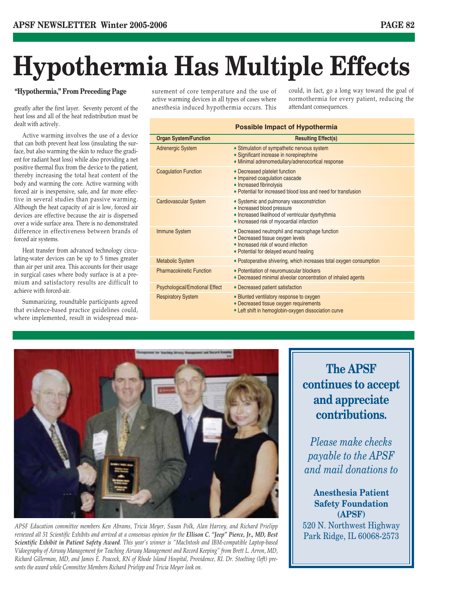# **Hypothermia Has Multiple Effects**

### **"Hypothermia," From Preceding Page**

greatly after the first layer. Seventy percent of the heat loss and all of the heat redistribution must be dealt with actively.

Active warming involves the use of a device that can both prevent heat loss (insulating the surface, but also warming the skin to reduce the gradient for radiant heat loss) while also providing a net positive thermal flux from the device to the patient, thereby increasing the total heat content of the body and warming the core. Active warming with forced air is inexpensive, safe, and far more effective in several studies than passive warming. Although the heat capacity of air is low, forced air devices are effective because the air is dispersed over a wide surface area. There is no demonstrated difference in effectiveness between brands of forced air systems.

Heat transfer from advanced technology circulating-water devices can be up to 5 times greater than air per unit area. This accounts for their usage in surgical cases where body surface is at a premium and satisfactory results are difficult to achieve with forced-air.

Summarizing, roundtable participants agreed that evidence-based practice guidelines could, where implemented, result in widespread measurement of core temperature and the use of active warming devices in all types of cases where anesthesia induced hypothermia occurs. This

could, in fact, go a long way toward the goal of normothermia for every patient, reducing the attendant consequences.

### **Possible Impact of Hypothermia**

| <b>Organ System/Function</b>          | <b>Resulting Effect(s)</b>                                                                                                                                                |
|---------------------------------------|---------------------------------------------------------------------------------------------------------------------------------------------------------------------------|
| <b>Adrenergic System</b>              | • Stimulation of sympathetic nervous system<br>• Significant increase in norepinephrine<br>• Minimal adrenomedullary/adrenocortical response                              |
| <b>Coagulation Function</b>           | • Decreased platelet function<br>• Impaired coagulation cascade<br>• Increased fibrinolysis<br>• Potential for increased blood loss and need for transfusion              |
| <b>Cardiovascular System</b>          | • Systemic and pulmonary vasoconstriction<br>• Increased blood pressure<br>· Increased likelihood of ventricular dysrhythmia<br>• Increased risk of myocardial infarction |
| <b>Immune System</b>                  | • Decreased neutrophil and macrophage function<br>• Decreased tissue oxygen levels<br>• Increased risk of wound infection<br>• Potential for delayed wound healing        |
| <b>Metabolic System</b>               | • Postoperative shivering, which increases total oxygen consumption                                                                                                       |
| <b>Pharmacokinetic Function</b>       | • Potentiation of neuromuscular blockers<br>• Decreased minimal alveolar concentration of inhaled agents                                                                  |
| <b>Psychological/Emotional Effect</b> | • Decreased patient satisfaction                                                                                                                                          |
| <b>Respiratory System</b>             | • Blunted ventilatory response to oxygen<br>• Decreased tissue oxygen requirements<br>• Left shift in hemoglobin-oxygen dissociation curve                                |



*APSF Education committee members Ken Abrams, Tricia Meyer, Susan Polk, Alan Harvey, and Richard Prielipp reviewed all 51 Scientific Exhibits and arrived at a consensus opinion for the Ellison C. "Jeep" Pierce, Jr., MD, Best Scientific Exhibit in Patient Safety Award. This year's winner is "MacIntosh and IBM-compatible Laptop-based Vidoegraphy of Airway Management for Teaching Airway Management and Record Keeping" from Brett L. Arron, MD, Richard Gillerman, MD, and James E. Peacock, RN of Rhode Island Hospital, Providence, RI. Dr. Stoelting (left) presents the award while Committee Members Richard Prielipp and Tricia Meyer look on.*

**The APSF continues to accept and appreciate contributions.** 

*Please make checks payable to the APSF and mail donations to*

### **Anesthesia Patient Safety Foundation (APSF)**

520 N. Northwest Highway Park Ridge, IL 60068-2573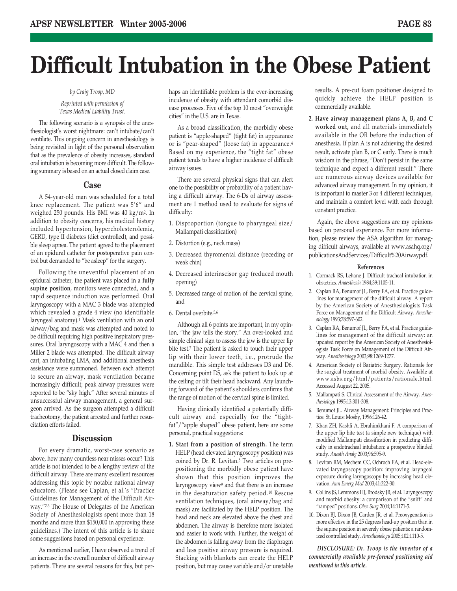# **Difficult Intubation in the Obese Patient**

#### *by Craig Troop, MD*

### *Reprinted with permission of Texas Medical Liability Trust.*

The following scenario is a synopsis of the anesthesiologist's worst nightmare: can't intubate/can't ventilate. This ongoing concern in anesthesiology is being revisited in light of the personal observation that as the prevalence of obesity increases, standard oral intubation is becoming more difficult. The following summary is based on an actual closed claim case.

### **Case**

A 54-year-old man was scheduled for a total knee replacement. The patient was 5'6" and weighed 250 pounds. His BMI was 40 kg/m2. In addition to obesity concerns, his medical history included hypertension, hypercholesterolemia, GERD, type II diabetes (diet controlled), and possible sleep apnea. The patient agreed to the placement of an epidural catheter for postoperative pain control but demanded to "be asleep" for the surgery.

Following the uneventful placement of an epidural catheter, the patient was placed in a **fully supine position**, monitors were connected, and a rapid sequence induction was performed. Oral laryngoscopy with a MAC 3 blade was attempted which revealed a grade 4 view (no identifiable laryngeal anatomy).1 Mask ventilation with an oral airway/bag and mask was attempted and noted to be difficult requiring high positive inspiratory pressures. Oral laryngoscopy with a MAC 4 and then a Miller 2 blade was attempted. The difficult airway cart, an intubating LMA, and additional anesthesia assistance were summoned. Between each attempt to secure an airway, mask ventilation became increasingly difficult; peak airway pressures were reported to be "sky high." After several minutes of unsuccessful airway management, a general surgeon arrived. As the surgeon attempted a difficult tracheotomy, the patient arrested and further resuscitation efforts failed.

### **Discussion**

For every dramatic, worst-case scenario as above, how many countless near misses occur? This article is not intended to be a lengthy review of the difficult airway. There are many excellent resources addressing this topic by notable national airway educators. (Please see Caplan, et al.'s "Practice Guidelines for Management of the Difficult Airway."2,3 The House of Delegates of the American Society of Anesthesiologists spent more than 18 months and more than \$150,000 in approving these guidelines.) The intent of this article is to share some suggestions based on personal experience.

As mentioned earlier, I have observed a trend of an increase in the overall number of difficult airway patients. There are several reasons for this, but perhaps an identifiable problem is the ever-increasing incidence of obesity with attendant comorbid disease processes. Five of the top 10 most "overweight cities" in the U.S. are in Texas.

As a broad classification, the morbidly obese patient is "apple-shaped" (tight fat) in appearance or is "pear-shaped" (loose fat) in appearance.4 Based on my experience, the "tight fat" obese patient tends to have a higher incidence of difficult airway issues.

There are several physical signs that can alert one to the possibility or probability of a patient having a difficult airway. The 6-Ds of airway assessment are 1 method used to evaluate for signs of difficulty:

- 1. Disproportion (tongue to pharyngeal size/ Mallampati classification)
- 2. Distortion (e.g., neck mass)
- 3. Decreased thyromental distance (receding or weak chin)
- 4. Decreased interinscisor gap (reduced mouth opening)
- 5. Decreased range of motion of the cervical spine, and
- 6. Dental overbite.5,6

Although all 6 points are important, in my opinion, "the jaw tells the story." An over-looked and simple clinical sign to assess the jaw is the upper lip bite test.7 The patient is asked to touch their upper lip with their lower teeth, i.e., protrude the mandible. This simple test addresses D3 and D6. Concerning point D5, ask the patient to look up at the ceiling or tilt their head backward. Any launching forward of the patient's shoulders confirms that the range of motion of the cervical spine is limited.

Having clinically identified a potentially difficult airway and especially for the "tightfat"/"apple shaped" obese patient, here are some personal, practical suggestions:

**1. Start from a position of strength.** The term HELP (head elevated laryngoscopy position) was coined by Dr. R. Levitan.8 Two articles on prepositioning the morbidly obese patient have shown that this position improves the laryngoscopy view9 and that there is an increase in the desaturation safety period.10 Rescue ventilation techniques, (oral airway/bag and mask) are facilitated by the HELP position. The head and neck are elevated above the chest and abdomen. The airway is therefore more isolated and easier to work with. Further, the weight of the abdomen is falling away from the diaphragm and less positive airway pressure is required. Stacking with blankets can create the HELP position, but may cause variable and/or unstable results. A pre-cut foam positioner designed to quickly achieve the HELP position is commercially available.

**2. Have airway management plans A, B, and C worked out,** and all materials immediately available in the OR before the induction of anesthesia. If plan A is not achieving the desired result, activate plan B, or C early. There is much wisdom in the phrase, "Don't persist in the same technique and expect a different result." There are numerous airway devices available for advanced airway management. In my opinion, it is important to master 3 or 4 different techniques, and maintain a comfort level with each through constant practice.

Again, the above suggestions are my opinions based on personal experience. For more information, please review the ASA algorithm for managing difficult airways, available at www.asahq.org/ publicationsAndServices/Difficult%20Airwaypdf.

#### **References**

- 1. Cormack RS, Lehane J. Difficult tracheal intubation in obstetrics. *Anaesthesia* 1984;39:1105-11.
- 2. Caplan RA, Benumof JL, Berry FA, et al. Practice guidelines for management of the difficult airway. A report by the American Society of Anesthesiologists Task Force on Management of the Difficult Airway. *Anesthesiology* 1993;78:597-602.
- 3. Caplan RA, Benumof JL, Berry FA, et al. Practice guidelines for management of the difficult airway: an updated report by the American Society of Anesthesiologists Task Force on Management of the Difficult Airway. *Anesthesiology* 2003;98:1269-1277.
- 4. American Society of Bariatric Surgery. Rationale for the surgical treatment of morbid obesity. Available at www.asbs.org/html/patients/rationale.html. Accessed August 22, 2005.
- 5. Mallampati S. Clinical Assessment of the Airway. *Anesthesiology* 1995;13:301-308.
- 6. Benumof JL. Airway Management: Principles and Practice. St. Louis: Mosby, 1996:126-42.
- 7. Khan ZH, Kashfi A, Ebrahimkhani F. A comparison of the upper lip bite test (a simple new technique) with modified Mallampati classification in predicting difficulty in endotracheal intubation: a prospective blinded study. *Anesth Analg* 2003;96:595-9.
- 8. Levitan RM, Mechem CC, Ochroch EA, et al. Head-elevated laryngoscopy position: improving laryngeal exposure during laryngoscopy by increasing head elevation. *Ann Emerg Med* 2003;41:322-30.
- 9. Collins JS, Lemmons HJ, Brodsky JB, et al. Laryngoscopy and morbid obesity: a comparison of the "sniff" and "ramped" positions. *Obes Surg* 2004;14:1171-5.
- 10. Dixon BJ, Dixon JB, Carden JR, et al. Preoxygenation is more effective in the 25 degrees head-up position than in the supine position in severely obese patients: a randomized controlled study. *Anesthesiology* 2005;102:1110-5.

*DISCLOSURE: Dr. Troop is the inventor of a commercially available pre-formed positioning aid mentioned in this article.*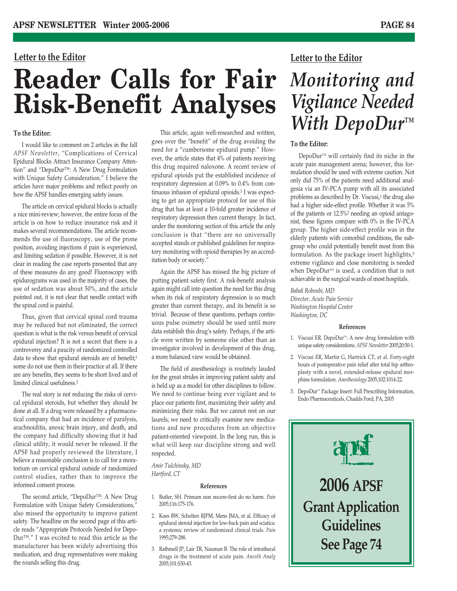### **Letter to the Editor**

# **Reader Calls for Fair Risk-Benefit Analyses**

### **To the Editor:**

I would like to comment on 2 articles in the fall *APSF Newsletter*, "Complications of Cervical Epidural Blocks Attract Insurance Company Attention" and "DepoDur™: A New Drug Formulation with Unique Safety Consideration." I believe the articles have major problems and reflect poorly on how the APSF handles emerging safety issues.

The article on cervical epidural blocks is actually a nice mini-review; however, the entire focus of the article is on how to reduce insurance risk and it makes several recommendations. The article recommends the use of fluoroscopy, use of the prone position, avoiding injections if pain is experienced, and limiting sedation if possible. However, it is not clear in reading the case reports presented that any of these measures do any good! Fluoroscopy with epidurograms was used in the majority of cases, the use of sedation was about 50%, and the article pointed out, it is not clear that needle contact with the spinal cord is painful.

Thus, given that cervical spinal cord trauma may be reduced but not eliminated, the correct question is what is the risk versus benefit of cervical epidural injection? It is not a secret that there is a controversy and a paucity of randomized controlled data to show that epidural steroids are of benefit;<sup>1</sup> some do not use them in their practice at all. If there are any benefits, they seems to be short lived and of limited clinical usefulness.2

The real story is not reducing the risks of cervical epidural steroids, but whether they should be done at all. If a drug were released by a pharmaceutical company that had an incidence of paralysis, arachnoiditis, anoxic brain injury, and death, and the company had difficulty showing that it had clinical utility, it would never be released. If the APSF had properly reviewed the literature, I believe a reasonable conclusion is to call for a moratorium on cervical epidural outside of randomized control studies, rather than to improve the informed consent process.

The second article, "DepoDur™: A New Drug Formulation with Unique Safety Considerations," also missed the opportunity to improve patient safety. The headline on the second page of this article reads "Appropriate Protocols Needed for Depo-Dur™." I was excited to read this article as the manufacturer has been widely advertising this medication, and drug representatives were making the rounds selling this drug.

This article, again well-researched and written, goes over the "benefit" of the drug avoiding the need for a "cumbersome epidural pump." However, the article states that 4% of patients receiving this drug required naloxone. A recent review of epidural opioids put the established incidence of respiratory depression at 0.09% to 0.4% from continuous infusion of epidural opioids.3 I was expecting to get an appropriate protocol for use of this drug that has at least a 10-fold greater incidence of respiratory depression then current therapy. In fact, under the monitoring section of this article the only conclusion is that "there are no universally accepted stands or published guidelines for respiratory monitoring with opioid therapies by an accreditation body or society."

Again the APSF has missed the big picture of putting patient safety first. A risk-benefit analysis again might call into question the need for this drug when its risk of respiratory depression is so much greater than current therapy, and its benefit is so trivial. Because of these questions, perhaps continuous pulse oximetry should be used until more data establish this drug's safety. Perhaps, if the article were written by someone else other than an investigator involved in development of this drug, a more balanced view would be obtained.

The field of anesthesiology is routinely lauded for the great strides in improving patient safety and is held up as a model for other disciplines to follow. We need to continue being ever vigilant and to place our patients first, maximizing their safety and minimizing their risks. But we cannot rest on our laurels; we need to critically examine new medications and new procedures from an objective patient-oriented viewpoint. In the long run, this is what will keep our discipline strong and well respected.

*Amir Tulchinsky, MD Hartford, CT*

#### **References**

- 1. Butler, SH. Primum non nocere-first do no harm. *Pain* 2005;116:175-176.
- 2. Koes BW, Scholten RJPM, Mens JMA, et al. Efficacy of epidural steroid injection for low-back pain and sciatica: a systemic review of randomized clinical trials. *Pain* 1995;279-288.
- 3. Rathmell JP, Lair TR, Nauman B. The role of intrathecal drugs in the treatment of acute pain. *Anesth Analg* 2005;101:S30-43.

### **Letter to the Editor**

# *Monitoring and Vigilance Needed With DepoDur™*

### **To the Editor:**

DepoDur™ will certainly find its niche in the acute pain management arena; however, this formulation should be used with extreme caution. Not only did 75% of the patients need additional analgesia via an IV-PCA pump with all its associated problems as described by Dr. Viscusi,<sup>1</sup> the drug also had a higher side-effect profile. Whether it was 5% of the patients or 12.5%2 needing an opioid antagonist, these figures compare with 0% in the IV-PCA group. The higher side-effect profile was in the elderly patients with comorbid conditions, the subgroup who could potentially benefit most from this formulation. As the package insert highlights,<sup>3</sup> extreme vigilance and close monitoring is needed when DepoDur<sup>™</sup> is used, a condition that is not achievable in the surgical wards of most hospitals.

*Babak Roboubi, MD Director, Acute Pain Service Washington Hospital Center Washington, DC*

#### **References**

- 1. Viscusi ER. DepoDur™: A new drug formulation with unique safety considerations. *APSF Newsletter* 2005;20:50-1.
- 2. Viscusi ER, Martin G, Hartrick CT, et al. Forty-eight hours of postoperative pain relief after total hip arthroplasty with a novel, extended-release epidural morphine formulation. *Anesthesiology* 2005;102:1014-22.
- 3. DepoDur™ Package Insert: Full Prescribing Information, Endo Pharmaceuticals, Chadds Ford, PA, 2005

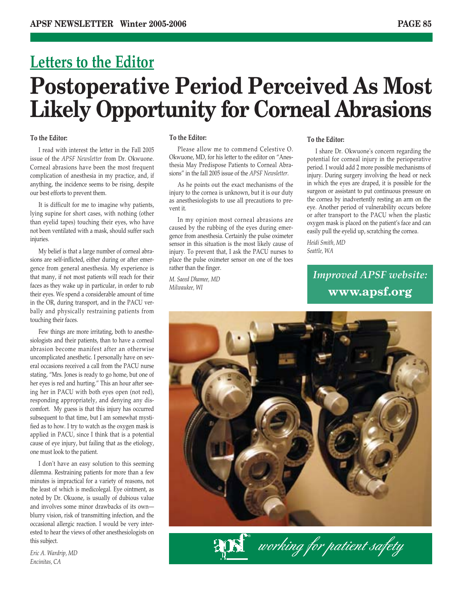# **Letters to the Editor Postoperative Period Perceived As Most Likely Opportunity for Corneal Abrasions**

### **To the Editor:**

I read with interest the letter in the Fall 2005 issue of the *APSF Newsletter* from Dr. Okwuone. Corneal abrasions have been the most frequent complication of anesthesia in my practice, and, if anything, the incidence seems to be rising, despite our best efforts to prevent them.

It is difficult for me to imagine why patients, lying supine for short cases, with nothing (other than eyelid tapes) touching their eyes, who have not been ventilated with a mask, should suffer such injuries.

My belief is that a large number of corneal abrasions are self-inflicted, either during or after emergence from general anesthesia. My experience is that many, if not most patients will reach for their faces as they wake up in particular, in order to rub their eyes. We spend a considerable amount of time in the OR, during transport, and in the PACU verbally and physically restraining patients from touching their faces.

Few things are more irritating, both to anesthesiologists and their patients, than to have a corneal abrasion become manifest after an otherwise uncomplicated anesthetic. I personally have on several occasions received a call from the PACU nurse stating, "Mrs. Jones is ready to go home, but one of her eyes is red and hurting." This an hour after seeing her in PACU with both eyes open (not red), responding appropriately, and denying any discomfort. My guess is that this injury has occurred subsequent to that time, but I am somewhat mystified as to how. I try to watch as the oxygen mask is applied in PACU, since I think that is a potential cause of eye injury, but failing that as the etiology, one must look to the patient.

I don't have an easy solution to this seeming dilemma. Restraining patients for more than a few minutes is impractical for a variety of reasons, not the least of which is medicolegal. Eye ointment, as noted by Dr. Okuone, is usually of dubious value and involves some minor drawbacks of its own blurry vision, risk of transmitting infection, and the occasional allergic reaction. I would be very interested to hear the views of other anesthesiologists on this subject.

*Eric A. Wardrip, MD Encinitas, CA*

### **To the Editor:**

Please allow me to commend Celestive O. Okwuone, MD, for his letter to the editor on "Anesthesia May Predispose Patients to Corneal Abrasions" in the fall 2005 issue of the *APSF Newsletter*.

As he points out the exact mechanisms of the injury to the cornea is unknown, but it is our duty as anesthesiologists to use all precautions to prevent it.

In my opinion most corneal abrasions are caused by the rubbing of the eyes during emergence from anesthesia. Certainly the pulse oximeter sensor in this situation is the most likely cause of injury. To prevent that, I ask the PACU nurses to place the pulse oximeter sensor on one of the toes rather than the finger.

*M. Saeed Dhamee, MD Milwaukee, WI*

### **To the Editor:**

I share Dr. Okwuone's concern regarding the potential for corneal injury in the perioperative period. I would add 2 more possible mechanisms of injury. During surgery involving the head or neck in which the eyes are draped, it is possible for the surgeon or assistant to put continuous pressure on the cornea by inadvertently resting an arm on the eye. Another period of vulnerability occurs before or after transport to the PACU when the plastic oxygen mask is placed on the patient's face and can easily pull the eyelid up, scratching the cornea.

*Heidi Smith, MD Seattle, WA*

> *Improved APSF website:* **www.apsf.org**

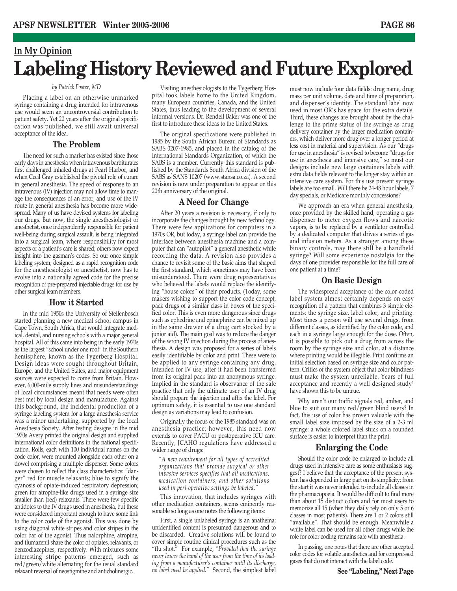### **In My Opinion Labeling History Reviewed and Future Explored**

### *by Patrick Foster, MD*

Placing a label on an otherwise unmarked syringe containing a drug intended for intravenous use would seem an uncontroversial contribution to patient safety. Yet 20 years after the original specification was published, we still await universal acceptance of the idea.

### **The Problem**

The need for such a marker has existed since those early days in anesthesia when intravenous barbiturates first challenged inhaled drugs at Pearl Harbor, and when Cecil Gray established the pivotal role of curare in general anesthesia. The speed of response to an intravenous (IV) injection may not allow time to manage the consequences of an error, and use of the IV route in general anesthesia has become more widespread. Many of us have devised systems for labeling our drugs. But now, the single anesthesiologist or anesthetist, once independently responsible for patient well-being during surgical assault, is being integrated into a surgical team, where responsibility for most aspects of a patient's care is shared; others now expect insight into the gasman's codes. So our once simple labeling system, designed as a rapid recognition code for the anesthesiologist or anesthetist, now has to evolve into a nationally agreed code for the precise recognition of pre-prepared injectable drugs for use by other surgical team members.

### **How it Started**

In the mid 1950s the University of Stellenbosch started planning a new medical school campus in Cape Town, South Africa, that would integrate medical, dental, and nursing schools with a major general hospital. All of this came into being in the early 1970s as the largest "school under one roof" in the Southern hemisphere, known as the Tygerberg Hospital. Design ideas were sought throughout Britain, Europe, and the United States, and major equipment sources were expected to come from Britain. However, 6,000-mile supply lines and misunderstandings of local circumstances meant that needs were often best met by local design and manufacture. Against this background, the incidental production of a syringe labeling system for a large anesthesia service was a minor undertaking, supported by the local Anesthesia Society. After testing designs in the mid 1970s Avery printed the original design and supplied international color definitions in the national specification. Rolls, each with 100 individual names on the code color, were mounted alongside each other on a dowel comprising a multiple dispenser. Some colors were chosen to reflect the class characteristics: "danger" red for muscle relaxants; blue to signify the cyanosis of opiate-induced respiratory depression; green for atropine-like drugs used in a syringe size smaller than (red) relaxants. There were few specific antidotes to the IV drugs used in anesthesia, but these were considered important enough to have some link to the color code of the agonist. This was done by using diagonal white stripes and color stripes in the color bar of the agonist. Thus nalorphine, atropine, and flumazenil share the color of opiates, relaxants, or benzodiazepines, respectively. With mixtures some interesting stripe patterns emerged, such as red/green/white alternating for the usual standard relaxant reversal of neostigmine and anticholinergic.

Visiting anesthesiologists to the Tygerberg Hospital took labels home to the United Kingdom, many European countries, Canada, and the United States, thus leading to the development of several informal versions. Dr. Rendell Baker was one of the first to introduce these ideas to the United States.

The original specifications were published in 1985 by the South African Bureau of Standards as SABS 0207-1985, and placed in the catalog of the International Standards Organization, of which the SABS is a member. Currently this standard is published by the Standards South Africa division of the SABS as SANS 10207 (www.stansa.co.za). A second revision is now under preparation to appear on this 20th anniversary of the original.

### **A Need for Change**

After 20 years a revision is necessary, if only to incorporate the changes brought by new technology. There were few applications for computers in a 1970s OR, but today, a syringe label can provide the interface between anesthesia machine and a computer that can "autopilot" a general anesthetic while recording the data. A revision also provides a chance to revisit some of the basic aims that shaped the first standard, which sometimes may have been misunderstood. There were drug representatives who believed the labels would replace the identifying "house colors" of their products. (Today, some makers wishing to support the color code concept, pack drugs of a similar class in boxes of the specified color. This is even more dangerous since drugs such as ephedrine and epinephrine can be mixed up in the same drawer of a drug cart stocked by a junior aid). The main goal was to reduce the danger of the wrong IV injection during the process of anesthesia. A design was proposed for a series of labels easily identifiable by color and print. These were to be applied to any syringe containing any drug, intended for IV use, after it had been transferred from its original pack into an anonymous syringe. Implied in the standard is observance of the safe practice that only the ultimate user of an IV drug should prepare the injection and affix the label. For optimum safety, it is essential to use one standard design as variations may lead to confusion.

Originally the focus of the 1985 standard was on anesthesia practice; however, this need now extends to cover PACU or postoperative ICU care. Recently, JCAHO regulations have addressed a wider range of drugs:

*"A new requirement for all types of accredited organizations that provide surgical or other invasive services specifies that all medications, medication containers, and other solutions used in peri-operative settings be labeled."*

This innovation, that includes syringes with other medication containers, seems eminently reasonable so long as one notes the following items:

First, a single unlabeled syringe is an anathema; unidentified content is presumed dangerous and to be discarded. Creative solutions will be found to cover simple routine clinical procedures such as the "flu shot." For example, *"Provided that the syringe never leaves the hand of the user from the time of its loading from a manufacturer's container until its discharge, no label need be applied."* Second, the simplest label

must now include four data fields: drug name, drug mass per unit volume, date and time of preparation, and dispenser's identity. The standard label now used in most OR's has space for the extra details. Third, these changes are brought about by the challenge to the prime status of the syringe as drug delivery container by the larger medication containers, which deliver more drug over a longer period at less cost in material and supervision. As our "drugs for use in anesthesia" is revised to become "drugs for use in anesthesia and intensive care," so must our designs include new large containers labels with extra data fields relevant to the longer stay within an intensive care system. For this use present syringe labels are too small. Will there be 24-48 hour labels, 7 day specials, or Medicare monthly concessions?

We approach an era when general anesthesia, once provided by the skilled hand, operating a gas dispenser to meter oxygen flows and narcotic vapors, is to be replaced by a ventilator controlled by a dedicated computer that drives a series of gas and infusion meters. As a stranger among these binary controls, may there still be a handheld syringe? Will some experience nostalgia for the days of one provider responsible for the full care of one patient at a time?

### **On Basic Design**

The widespread acceptance of the color coded label system almost certainly depends on easy recognition of a pattern that combines 3 simple elements: the syringe size, label color, and printing. Most times a person will use several drugs, from different classes, as identified by the color code, and each in a syringe large enough for the dose. Often, it is possible to pick out a drug from across the room by the syringe size and color, at a distance where printing would be illegible. Print confirms an initial selection based on syringe size and color pattern. Critics of the system object that color blindness must make the system unreliable. Years of full acceptance and recently a well designed study1 have shown this to be untrue.

Why aren't our traffic signals red, amber, and blue to suit our many red/green blind users? In fact, this use of color has proven valuable with the small label size imposed by the size of a 2-3 ml syringe: a whole colored label stuck on a rounded surface is easier to interpret than the print.

### **Enlarging the Code**

Should the color code be enlarged to include all drugs used in intensive care as some enthusiasts suggest? I believe that the acceptance of the present system has depended in large part on its simplicity; from the start it was never intended to include all classes in the pharmacopoeia. It would be difficult to find more than about 15 distinct colors and for most users to memorize all 15 (when they daily rely on only 5 or 6 classes in most patients). There are 1 or 2 colors still "available". That should be enough. Meanwhile a white label can be used for all other drugs while the role for color coding remains safe with anesthesia.

In passing, one notes that there are other accepted color codes for volatile anesthetics and for compressed gases that do not interact with the label code.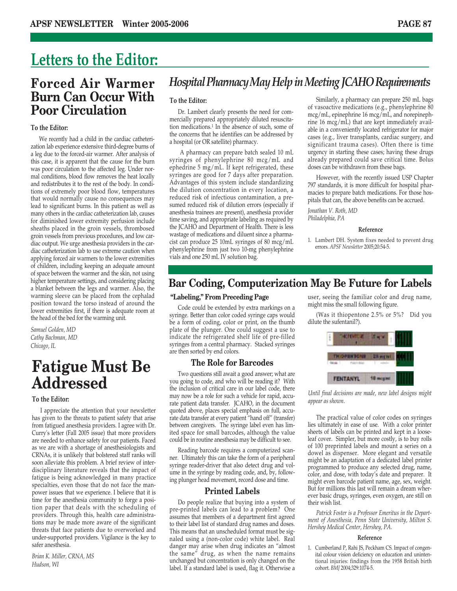### **Letters to the Editor:**

### **Forced Air Warmer Burn Can Occur With Poor Circulation**

### **To the Editor:**

We recently had a child in the cardiac catheterization lab experience extensive third-degree burns of a leg due to the forced-air warmer. After analysis of this case, it is apparent that the cause for the burn was poor circulation to the affected leg. Under normal conditions, blood flow removes the heat locally and redistributes it to the rest of the body. In conditions of extremely poor blood flow, temperatures that would normally cause no consequences may lead to significant burns. In this patient as well as many others in the cardiac catheterization lab, causes for diminished lower extremity perfusion include sheaths placed in the groin vessels, thrombosed groin vessels from previous procedures, and low cardiac output. We urge anesthesia providers in the cardiac catheterization lab to use extreme caution when applying forced air warmers to the lower extremities of children, including keeping an adequate amount of space between the warmer and the skin, not using higher temperature settings, and considering placing a blanket between the legs and warmer. Also, the warming sleeve can be placed from the cephalad position toward the torso instead of around the lower extremities first, if there is adequate room at the head of the bed for the warming unit.

*Samuel Golden, MD Cathy Bachman, MD Chicago, IL*

### **Fatigue Must Be Addressed**

### **To the Editor:**

I appreciate the attention that your newsletter has given to the threats to patient safety that arise from fatigued anesthesia providers. I agree with Dr. Curry's letter (Fall 2005 issue) that more providers are needed to enhance safety for our patients. Faced as we are with a shortage of anesthesiologists and CRNAs, it is unlikely that bolstered staff ranks will soon alleviate this problem. A brief review of interdisciplinary literature reveals that the impact of fatigue is being acknowledged in many practice specialties, even those that do not face the manpower issues that we experience. I believe that it is time for the anesthesia community to forge a position paper that deals with the scheduling of providers. Through this, health care administrations may be made more aware of the significant threats that face patients due to overworked and under-supported providers. Vigilance is the key to safer anesthesia.

*Brian K. Miller, CRNA, MS Hudson, WI*

### *Hospital Pharmacy May Help in Meeting JCAHO Requirements*

### **To the Editor:**

Dr. Lambert clearly presents the need for commercially prepared appropriately diluted resuscitation medications.1 In the absence of such, some of the concerns that he identifies can be addressed by a hospital (or OR satellite) pharmacy.

A pharmacy can prepare batch sealed 10 mL syringes of phenylephrine 80 mcg/mL and ephedrine 5 mg/mL. If kept refrigerated, these syringes are good for 7 days after preparation. Advantages of this system include standardizing the dilution concentration in every location, a reduced risk of infectious contamination, a presumed reduced risk of dilution errors (especially if anesthesia trainees are present), anesthesia provider time saving, and appropriate labeling as required by the JCAHO and Department of Health. There is less wastage of medications and diluent since a pharmacist can produce 25 10mL syringes of 80 mcg/mL phenylephrine from just two 10-mg phenylephrine vials and one 250 mL IV solution bag.

Similarly, a pharmacy can prepare 250 mL bags of vasoactive medications (e.g., phenylephrine 80 mcg/mL, epinephrine 16 mcg/mL, and norepinephrine 16 mcg/mL) that are kept immediately available in a conveniently located refrigerator for major cases (e.g., liver transplants, cardiac surgery, and significant trauma cases). Often there is time urgency in starting these cases; having these drugs already prepared could save critical time. Bolus doses can be withdrawn from these bags.

However, with the recently issued USP Chapter 797 standards, it is more difficult for hospital pharmacies to prepare batch medications. For those hospitals that can, the above benefits can be accrued.

*Jonathan V. Roth, MD Philadelphia, PA*

#### **Reference**

1. Lambert DH. System fixes needed to prevent drug errors. *APSF Newsletter* 2005;20:54-5.

### **Bar Coding, Computerization May Be Future for Labels**

### **"Labeling," From Preceding Page**

Code could be extended by extra markings on a syringe. Better than color coded syringe caps would be a form of coding, color or print, on the thumb plate of the plunger. One could suggest a use to indicate the refrigerated shelf life of pre-filled syringes from a central pharmacy. Stacked syringes are then sorted by end colors.

### **The Role for Barcodes**

Two questions still await a good answer; what are you going to code, and who will be reading it? With the inclusion of critical care in our label code, there may now be a role for such a vehicle for rapid, accurate patient data transfer. JCAHO, in the document quoted above, places special emphasis on full, accurate data transfer at every patient "hand off" (transfer) between caregivers. The syringe label even has limited space for small barcodes, although the value could be in routine anesthesia may be difficult to see.

Reading barcode requires a computerized scanner. Ultimately this can take the form of a peripheral syringe reader-driver that also detect drug and volume in the syringe by reading code, and, by, following plunger head movement, record dose and time.

### **Printed Labels**

Do people realize that buying into a system of pre-printed labels can lead to a problem? One assumes that members of a department first agreed to their label list of standard drug names and doses. This means that an unscheduled format must be signaled using a (non-color code) white label. Real danger may arise when drug indicates an "almost the same" drug, as when the name remains unchanged but concentration is only changed on the label. If a standard label is used, flag it. Otherwise a user, seeing the familiar color and drug name, might miss the small following figure.

(Was it thiopentone 2.5% or 5%? Did you dilute the sufentanil?).



*Until final decisions are made, new label designs might appear as shown.*

The practical value of color codes on syringes lies ultimately in ease of use. With a color printer sheets of labels can be printed and kept in a looseleaf cover. Simpler, but more costly, is to buy rolls of 100 preprinted labels and mount a series on a dowel as dispenser. More elegant and versatile might be an adaptation of a dedicated label printer programmed to produce any selected drug, name, color, and dose, with today's date and preparer. It might even barcode patient name, age, sex, weight. But for millions this last will remain a dream wherever basic drugs, syringes, even oxygen, are still on their wish list.

*Patrick Foster is a Professor Emeritus in the Department of Anesthesia, Penn State University, Milton S. Hershey Medical Center, Hershey, PA.*

### **Reference**

1. Cumberland P, Rahi JS, Peckham CS. Impact of congenital colour vision deficiency on education and unintentional injuries: findings from the 1958 British birth cohort. *BMJ* 2004;329:1074-5.